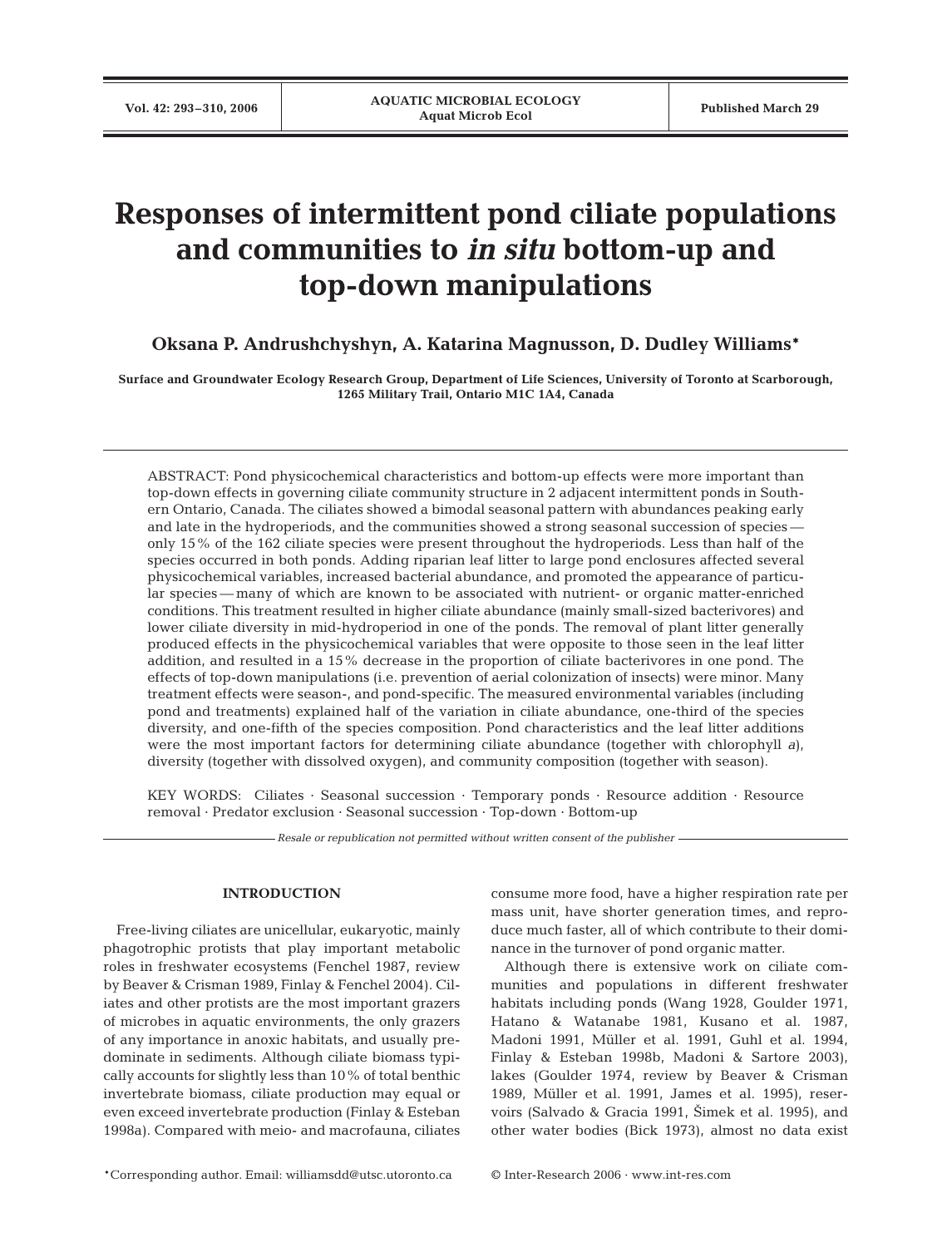# **Responses of intermittent pond ciliate populations and communities to** *in situ* **bottom-up and top-down manipulations**

**Oksana P. Andrushchyshyn, A. Katarina Magnusson, D. Dudley Williams\***

**Surface and Groundwater Ecology Research Group, Department of Life Sciences, University of Toronto at Scarborough, 1265 Military Trail, Ontario M1C 1A4, Canada**

ABSTRACT: Pond physicochemical characteristics and bottom-up effects were more important than top-down effects in governing ciliate community structure in 2 adjacent intermittent ponds in Southern Ontario, Canada. The ciliates showed a bimodal seasonal pattern with abundances peaking early and late in the hydroperiods, and the communities showed a strong seasonal succession of species only 15% of the 162 ciliate species were present throughout the hydroperiods. Less than half of the species occurred in both ponds. Adding riparian leaf litter to large pond enclosures affected several physicochemical variables, increased bacterial abundance, and promoted the appearance of particular species — many of which are known to be associated with nutrient- or organic matter-enriched conditions. This treatment resulted in higher ciliate abundance (mainly small-sized bacterivores) and lower ciliate diversity in mid-hydroperiod in one of the ponds. The removal of plant litter generally produced effects in the physicochemical variables that were opposite to those seen in the leaf litter addition, and resulted in a 15% decrease in the proportion of ciliate bacterivores in one pond. The effects of top-down manipulations (i.e. prevention of aerial colonization of insects) were minor. Many treatment effects were season-, and pond-specific. The measured environmental variables (including pond and treatments) explained half of the variation in ciliate abundance, one-third of the species diversity, and one-fifth of the species composition. Pond characteristics and the leaf litter additions were the most important factors for determining ciliate abundance (together with chlorophyll *a*), diversity (together with dissolved oxygen), and community composition (together with season).

KEY WORDS: Ciliates · Seasonal succession · Temporary ponds · Resource addition · Resource removal · Predator exclusion · Seasonal succession · Top-down · Bottom-up

*Resale or republication not permitted without written consent of the publisher*

# **INTRODUCTION**

Free-living ciliates are unicellular, eukaryotic, mainly phagotrophic protists that play important metabolic roles in freshwater ecosystems (Fenchel 1987, review by Beaver & Crisman 1989, Finlay & Fenchel 2004). Ciliates and other protists are the most important grazers of microbes in aquatic environments, the only grazers of any importance in anoxic habitats, and usually predominate in sediments. Although ciliate biomass typically accounts for slightly less than 10% of total benthic invertebrate biomass, ciliate production may equal or even exceed invertebrate production (Finlay & Esteban 1998a). Compared with meio- and macrofauna, ciliates

consume more food, have a higher respiration rate per mass unit, have shorter generation times, and reproduce much faster, all of which contribute to their dominance in the turnover of pond organic matter. Although there is extensive work on ciliate com-

munities and populations in different freshwater habitats including ponds (Wang 1928, Goulder 1971, Hatano & Watanabe 1981, Kusano et al. 1987, Madoni 1991, Müller et al. 1991, Guhl et al. 1994, Finlay & Esteban 1998b, Madoni & Sartore 2003), lakes (Goulder 1974, review by Beaver & Crisman 1989, Müller et al. 1991, James et al. 1995), reservoirs (Salvado & Gracia 1991, 2imek et al. 1995), and other water bodies (Bick 1973), almost no data exist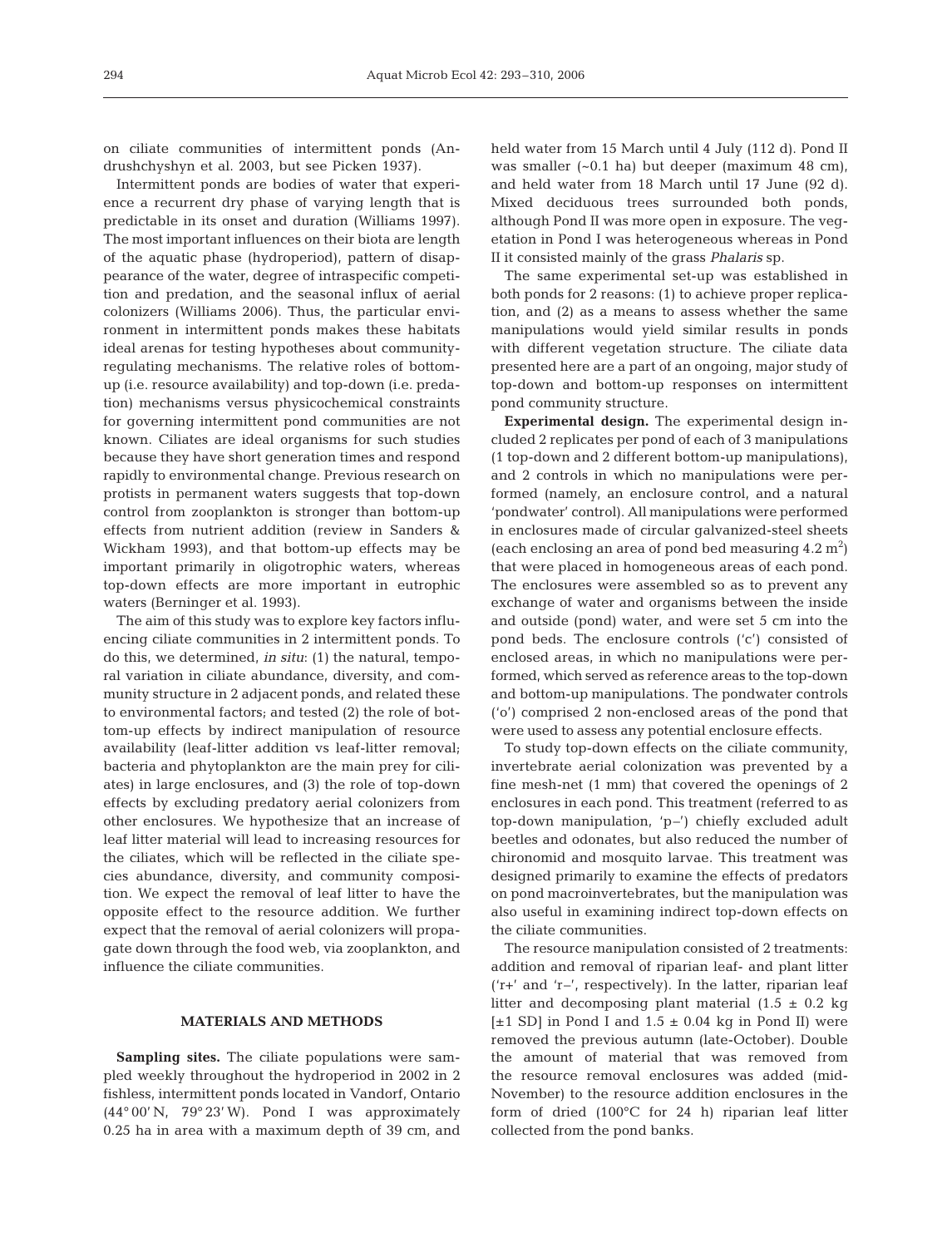on ciliate communities of intermittent ponds (Andrushchyshyn et al. 2003, but see Picken 1937).

Intermittent ponds are bodies of water that experience a recurrent dry phase of varying length that is predictable in its onset and duration (Williams 1997). The most important influences on their biota are length of the aquatic phase (hydroperiod), pattern of disappearance of the water, degree of intraspecific competition and predation, and the seasonal influx of aerial colonizers (Williams 2006). Thus, the particular environment in intermittent ponds makes these habitats ideal arenas for testing hypotheses about communityregulating mechanisms. The relative roles of bottomup (i.e. resource availability) and top-down (i.e. predation) mechanisms versus physicochemical constraints for governing intermittent pond communities are not known. Ciliates are ideal organisms for such studies because they have short generation times and respond rapidly to environmental change. Previous research on protists in permanent waters suggests that top-down control from zooplankton is stronger than bottom-up effects from nutrient addition (review in Sanders & Wickham 1993), and that bottom-up effects may be important primarily in oligotrophic waters, whereas top-down effects are more important in eutrophic waters (Berninger et al. 1993).

The aim of this study was to explore key factors influencing ciliate communities in 2 intermittent ponds. To do this, we determined, *in situ*: (1) the natural, temporal variation in ciliate abundance, diversity, and community structure in 2 adjacent ponds, and related these to environmental factors; and tested (2) the role of bottom-up effects by indirect manipulation of resource availability (leaf-litter addition vs leaf-litter removal; bacteria and phytoplankton are the main prey for ciliates) in large enclosures, and (3) the role of top-down effects by excluding predatory aerial colonizers from other enclosures. We hypothesize that an increase of leaf litter material will lead to increasing resources for the ciliates, which will be reflected in the ciliate species abundance, diversity, and community composition. We expect the removal of leaf litter to have the opposite effect to the resource addition. We further expect that the removal of aerial colonizers will propagate down through the food web, via zooplankton, and influence the ciliate communities.

# **MATERIALS AND METHODS**

**Sampling sites.** The ciliate populations were sampled weekly throughout the hydroperiod in 2002 in 2 fishless, intermittent ponds located in Vandorf, Ontario (44° 00' N, 79° 23' W). Pond I was approximately 0.25 ha in area with a maximum depth of 39 cm, and held water from 15 March until 4 July (112 d). Pond II was smaller  $(-0.1$  ha) but deeper (maximum 48 cm), and held water from 18 March until 17 June (92 d). Mixed deciduous trees surrounded both ponds, although Pond II was more open in exposure. The vegetation in Pond I was heterogeneous whereas in Pond II it consisted mainly of the grass *Phalaris* sp.

The same experimental set-up was established in both ponds for 2 reasons: (1) to achieve proper replication, and (2) as a means to assess whether the same manipulations would yield similar results in ponds with different vegetation structure. The ciliate data presented here are a part of an ongoing, major study of top-down and bottom-up responses on intermittent pond community structure.

**Experimental design.** The experimental design included 2 replicates per pond of each of 3 manipulations (1 top-down and 2 different bottom-up manipulations), and 2 controls in which no manipulations were performed (namely, an enclosure control, and a natural 'pondwater' control). All manipulations were performed in enclosures made of circular galvanized-steel sheets (each enclosing an area of pond bed measuring  $4.2 \text{ m}^2$ ) that were placed in homogeneous areas of each pond. The enclosures were assembled so as to prevent any exchange of water and organisms between the inside and outside (pond) water, and were set 5 cm into the pond beds. The enclosure controls ('c') consisted of enclosed areas, in which no manipulations were performed, which served as reference areas to the top-down and bottom-up manipulations. The pondwater controls ('o') comprised 2 non-enclosed areas of the pond that were used to assess any potential enclosure effects.

To study top-down effects on the ciliate community, invertebrate aerial colonization was prevented by a fine mesh-net (1 mm) that covered the openings of 2 enclosures in each pond. This treatment (referred to as top-down manipulation, 'p–') chiefly excluded adult beetles and odonates, but also reduced the number of chironomid and mosquito larvae. This treatment was designed primarily to examine the effects of predators on pond macroinvertebrates, but the manipulation was also useful in examining indirect top-down effects on the ciliate communities.

The resource manipulation consisted of 2 treatments: addition and removal of riparian leaf- and plant litter ('r+' and 'r–', respectively). In the latter, riparian leaf litter and decomposing plant material  $(1.5 \pm 0.2 \text{ kg})$  $[\pm 1$  SD] in Pond I and  $1.5 \pm 0.04$  kg in Pond II) were removed the previous autumn (late-October). Double the amount of material that was removed from the resource removal enclosures was added (mid-November) to the resource addition enclosures in the form of dried (100°C for 24 h) riparian leaf litter collected from the pond banks.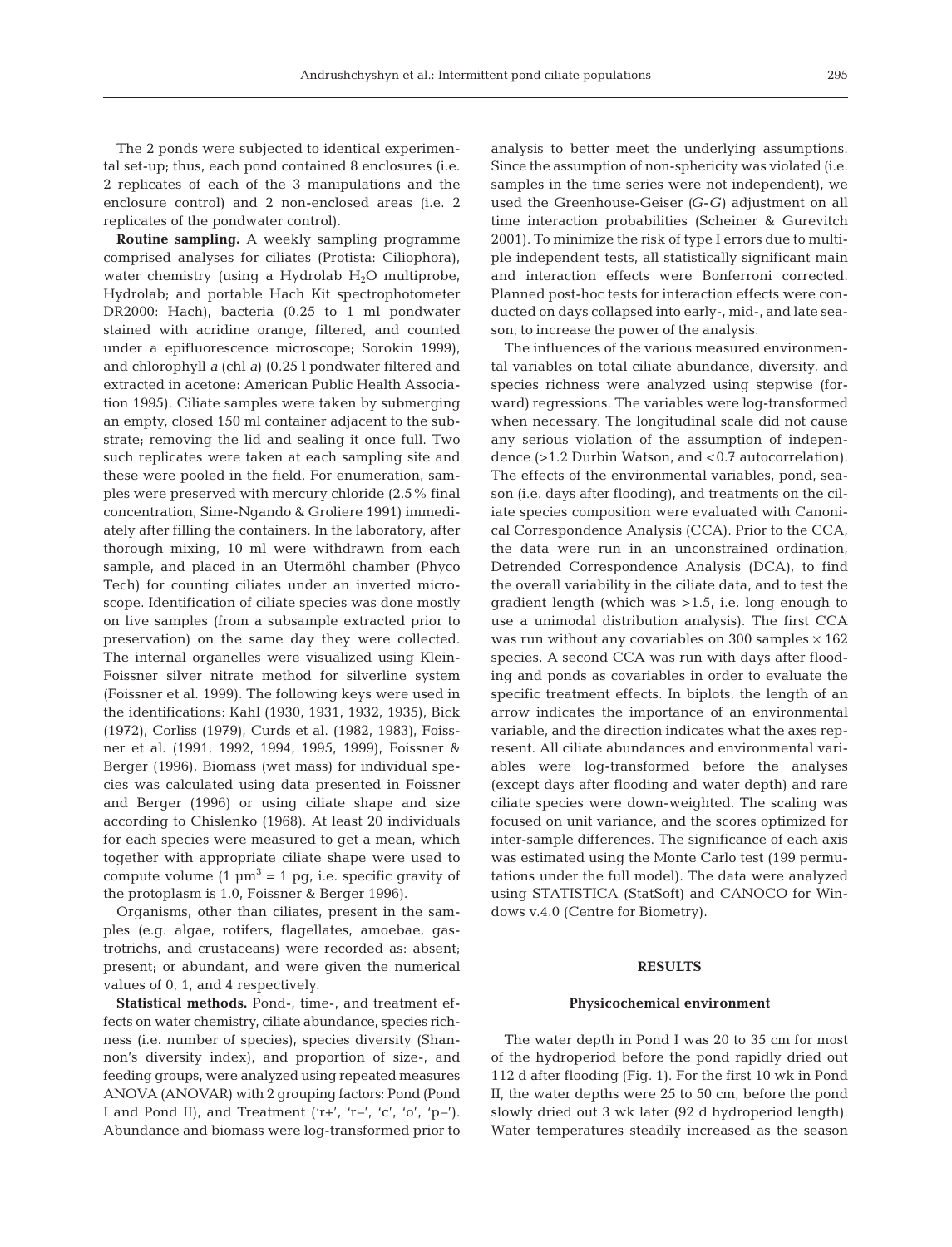The 2 ponds were subjected to identical experimental set-up; thus, each pond contained 8 enclosures (i.e. 2 replicates of each of the 3 manipulations and the enclosure control) and 2 non-enclosed areas (i.e. 2 replicates of the pondwater control).

**Routine sampling.** A weekly sampling programme comprised analyses for ciliates (Protista: Ciliophora), water chemistry (using a Hydrolab  $H_2O$  multiprobe, Hydrolab; and portable Hach Kit spectrophotometer DR2000: Hach), bacteria (0.25 to 1 ml pondwater stained with acridine orange, filtered, and counted under a epifluorescence microscope; Sorokin 1999), and chlorophyll *a* (chl *a*) (0.25 l pondwater filtered and extracted in acetone: American Public Health Association 1995). Ciliate samples were taken by submerging an empty, closed 150 ml container adjacent to the substrate; removing the lid and sealing it once full. Two such replicates were taken at each sampling site and these were pooled in the field. For enumeration, samples were preserved with mercury chloride (2.5% final concentration, Sime-Ngando & Groliere 1991) immediately after filling the containers. In the laboratory, after thorough mixing, 10 ml were withdrawn from each sample, and placed in an Utermöhl chamber (Phyco Tech) for counting ciliates under an inverted microscope. Identification of ciliate species was done mostly on live samples (from a subsample extracted prior to preservation) on the same day they were collected. The internal organelles were visualized using Klein-Foissner silver nitrate method for silverline system (Foissner et al. 1999). The following keys were used in the identifications: Kahl (1930, 1931, 1932, 1935), Bick (1972), Corliss (1979), Curds et al. (1982, 1983), Foissner et al. (1991, 1992, 1994, 1995, 1999), Foissner & Berger (1996). Biomass (wet mass) for individual species was calculated using data presented in Foissner and Berger (1996) or using ciliate shape and size according to Chislenko (1968). At least 20 individuals for each species were measured to get a mean, which together with appropriate ciliate shape were used to compute volume  $(1 \mu m^3 = 1 \text{ pg}, i.e.$  specific gravity of the protoplasm is 1.0, Foissner & Berger 1996).

Organisms, other than ciliates, present in the samples (e.g. algae, rotifers, flagellates, amoebae, gastrotrichs, and crustaceans) were recorded as: absent; present; or abundant, and were given the numerical values of 0, 1, and 4 respectively.

**Statistical methods.** Pond-, time-, and treatment effects on water chemistry, ciliate abundance, species richness (i.e. number of species), species diversity (Shannon's diversity index), and proportion of size-, and feeding groups, were analyzed using repeated measures ANOVA (ANOVAR) with 2 grouping factors: Pond (Pond I and Pond II), and Treatment ('r+', 'r–', 'c', 'o', 'p–'). Abundance and biomass were log-transformed prior to analysis to better meet the underlying assumptions. Since the assumption of non-sphericity was violated (i.e. samples in the time series were not independent), we used the Greenhouse-Geiser *(G*-*G)* adjustment on all time interaction probabilities (Scheiner & Gurevitch 2001). To minimize the risk of type I errors due to multiple independent tests, all statistically significant main and interaction effects were Bonferroni corrected. Planned post-hoc tests for interaction effects were conducted on days collapsed into early-, mid-, and late season, to increase the power of the analysis.

The influences of the various measured environmental variables on total ciliate abundance, diversity, and species richness were analyzed using stepwise (forward) regressions. The variables were log-transformed when necessary. The longitudinal scale did not cause any serious violation of the assumption of independence (>1.2 Durbin Watson, and <0.7 autocorrelation). The effects of the environmental variables, pond, season (i.e. days after flooding), and treatments on the ciliate species composition were evaluated with Canonical Correspondence Analysis (CCA). Prior to the CCA, the data were run in an unconstrained ordination, Detrended Correspondence Analysis (DCA), to find the overall variability in the ciliate data, and to test the gradient length (which was >1.5, i.e. long enough to use a unimodal distribution analysis). The first CCA was run without any covariables on 300 samples  $\times$  162 species. A second CCA was run with days after flooding and ponds as covariables in order to evaluate the specific treatment effects. In biplots, the length of an arrow indicates the importance of an environmental variable, and the direction indicates what the axes represent. All ciliate abundances and environmental variables were log-transformed before the analyses (except days after flooding and water depth) and rare ciliate species were down-weighted. The scaling was focused on unit variance, and the scores optimized for inter-sample differences. The significance of each axis was estimated using the Monte Carlo test (199 permutations under the full model). The data were analyzed using STATISTICA (StatSoft) and CANOCO for Windows v.4.0 (Centre for Biometry).

# **RESULTS**

#### **Physicochemical environment**

The water depth in Pond I was 20 to 35 cm for most of the hydroperiod before the pond rapidly dried out 112 d after flooding (Fig. 1). For the first 10 wk in Pond II, the water depths were 25 to 50 cm, before the pond slowly dried out 3 wk later (92 d hydroperiod length). Water temperatures steadily increased as the season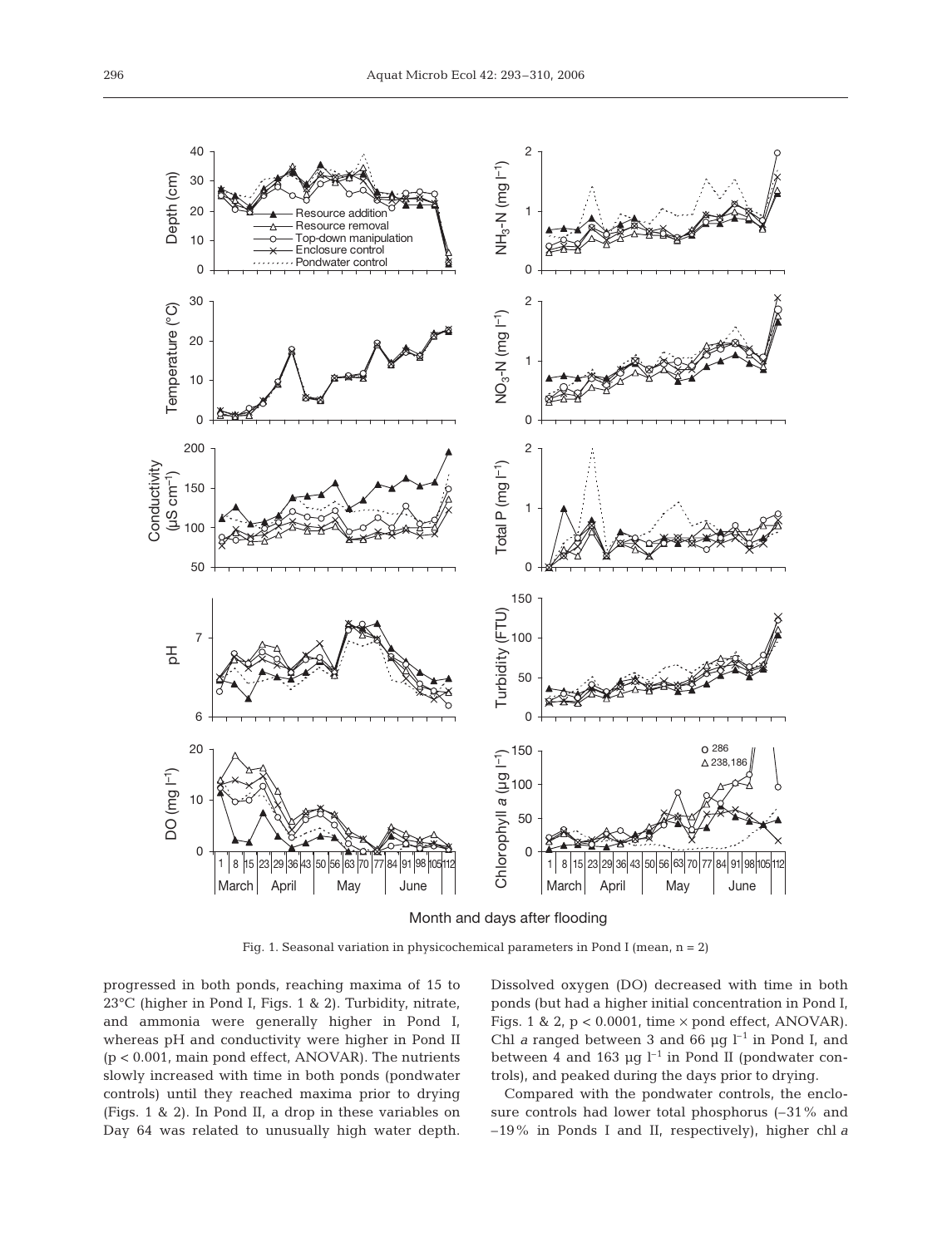

Month and days after flooding

Fig. 1. Seasonal variation in physicochemical parameters in Pond I (mean,  $n = 2$ )

progressed in both ponds, reaching maxima of 15 to 23°C (higher in Pond I, Figs. 1 & 2). Turbidity, nitrate, and ammonia were generally higher in Pond I, whereas pH and conductivity were higher in Pond II (p < 0.001, main pond effect, ANOVAR). The nutrients slowly increased with time in both ponds (pondwater controls) until they reached maxima prior to drying (Figs. 1 & 2). In Pond II, a drop in these variables on Day 64 was related to unusually high water depth.

Dissolved oxygen (DO) decreased with time in both ponds (but had a higher initial concentration in Pond I, Figs. 1 & 2,  $p < 0.0001$ , time  $\times$  pond effect, ANOVAR). Chl *a* ranged between 3 and 66  $\mu$ g l<sup>-1</sup> in Pond I, and between 4 and 163  $\mu$ g l<sup>-1</sup> in Pond II (pondwater controls), and peaked during the days prior to drying.

Compared with the pondwater controls, the enclosure controls had lower total phosphorus (–31% and –19% in Ponds I and II, respectively), higher chl *a*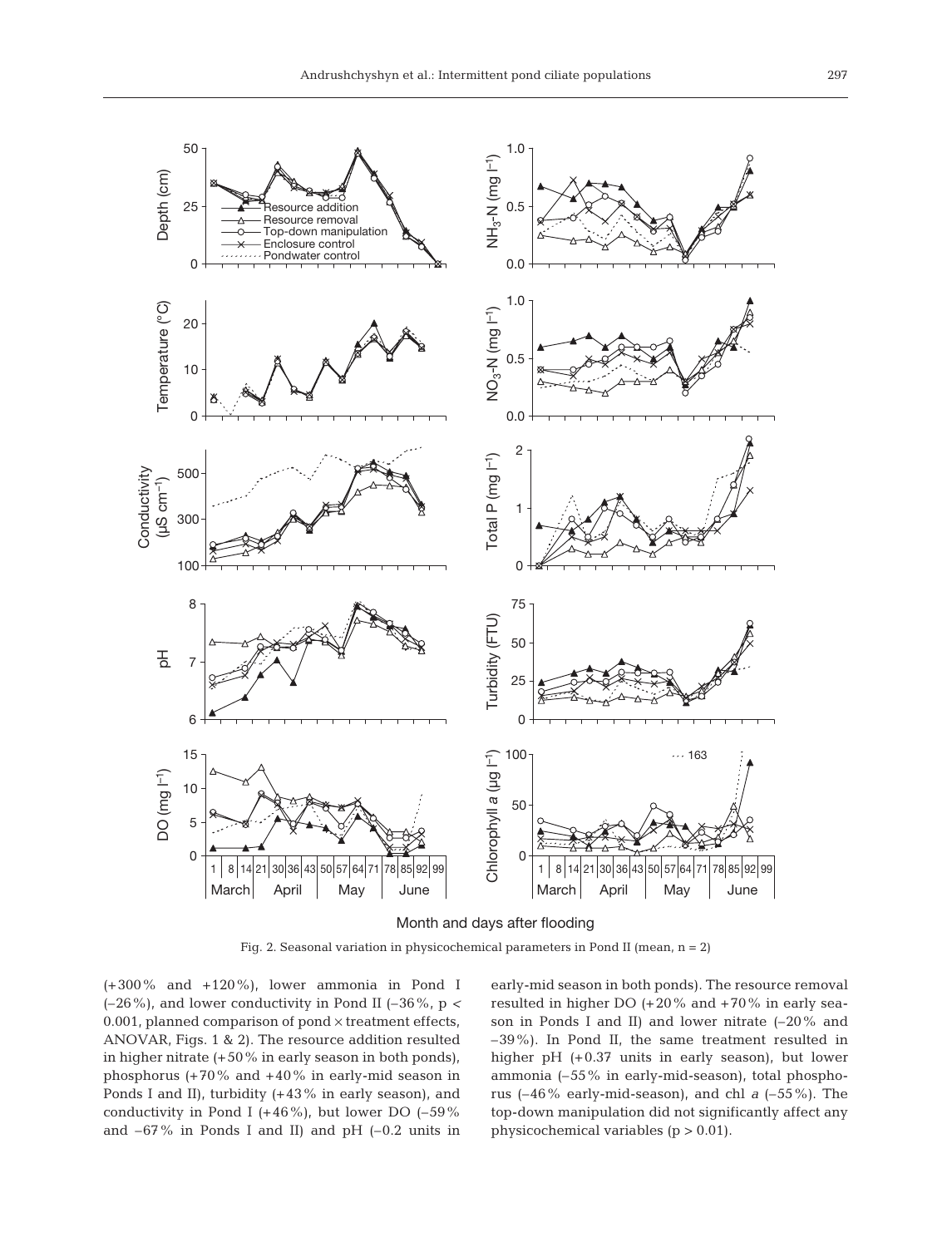

Month and days after flooding

Fig. 2. Seasonal variation in physicochemical parameters in Pond II (mean,  $n = 2$ )

(+300% and +120%), lower ammonia in Pond I (–26%), and lower conductivity in Pond II (–36%, p *<* 0.001, planned comparison of pond  $\times$  treatment effects, ANOVAR, Figs. 1 & 2). The resource addition resulted in higher nitrate (+50% in early season in both ponds), phosphorus (+70% and +40% in early-mid season in Ponds I and II), turbidity (+43% in early season), and conductivity in Pond I (+46%), but lower DO (-59%) and  $-67\%$  in Ponds I and II) and pH  $(-0.2 \text{ units in})$ 

early-mid season in both ponds). The resource removal resulted in higher DO (+20% and +70% in early season in Ponds I and II) and lower nitrate (–20% and –39%). In Pond II, the same treatment resulted in higher pH (+0.37 units in early season), but lower ammonia (–55% in early-mid-season), total phosphorus (–46% early-mid-season), and chl *a* (–55%). The top-down manipulation did not significantly affect any physicochemical variables (p > 0.01).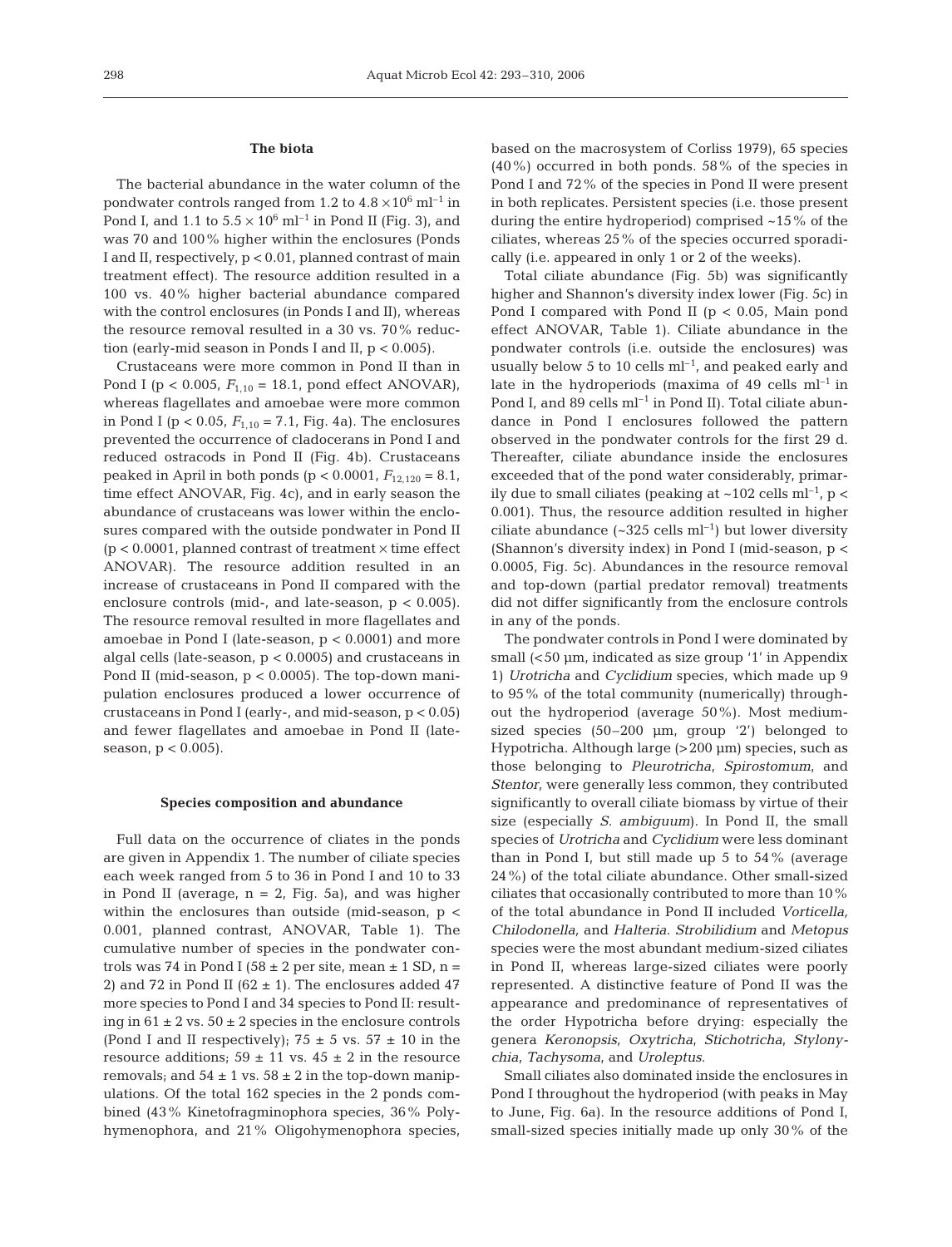## **The biota**

The bacterial abundance in the water column of the pondwater controls ranged from 1.2 to  $4.8 \times 10^6$  ml<sup>-1</sup> in Pond I, and 1.1 to  $5.5 \times 10^6$  ml<sup>-1</sup> in Pond II (Fig. 3), and was 70 and 100% higher within the enclosures (Ponds I and II, respectively, p < 0.01, planned contrast of main treatment effect). The resource addition resulted in a 100 vs. 40% higher bacterial abundance compared with the control enclosures (in Ponds I and II), whereas the resource removal resulted in a 30 vs. 70% reduction (early-mid season in Ponds I and II,  $p < 0.005$ ).

Crustaceans were more common in Pond II than in Pond I ( $p < 0.005$ ,  $F_{1,10} = 18.1$ , pond effect ANOVAR), whereas flagellates and amoebae were more common in Pond I ( $p < 0.05$ ,  $F_{1,10} = 7.1$ , Fig. 4a). The enclosures prevented the occurrence of cladocerans in Pond I and reduced ostracods in Pond II (Fig. 4b). Crustaceans peaked in April in both ponds ( $p < 0.0001$ ,  $F_{12,120} = 8.1$ , time effect ANOVAR, Fig. 4c), and in early season the abundance of crustaceans was lower within the enclosures compared with the outside pondwater in Pond II (p < 0.0001, planned contrast of treatment  $\times$  time effect ANOVAR). The resource addition resulted in an increase of crustaceans in Pond II compared with the enclosure controls (mid-, and late-season,  $p < 0.005$ ). The resource removal resulted in more flagellates and amoebae in Pond I (late-season, p < 0.0001) and more algal cells (late-season,  $p < 0.0005$ ) and crustaceans in Pond II (mid-season,  $p < 0.0005$ ). The top-down manipulation enclosures produced a lower occurrence of crustaceans in Pond I (early-, and mid-season, p < 0.05) and fewer flagellates and amoebae in Pond II (lateseason,  $p < 0.005$ ).

## **Species composition and abundance**

Full data on the occurrence of cliates in the ponds are given in Appendix 1. The number of ciliate species each week ranged from 5 to 36 in Pond I and 10 to 33 in Pond II (average,  $n = 2$ , Fig. 5a), and was higher within the enclosures than outside (mid-season, p < 0.001, planned contrast, ANOVAR, Table 1). The cumulative number of species in the pondwater controls was 74 in Pond I (58  $\pm$  2 per site, mean  $\pm$  1 SD, n = 2) and 72 in Pond II ( $62 \pm 1$ ). The enclosures added 47 more species to Pond I and 34 species to Pond II: resulting in  $61 \pm 2$  vs.  $50 \pm 2$  species in the enclosure controls (Pond I and II respectively);  $75 \pm 5$  vs.  $57 \pm 10$  in the resource additions;  $59 \pm 11$  vs.  $45 \pm 2$  in the resource removals; and  $54 \pm 1$  vs.  $58 \pm 2$  in the top-down manipulations. Of the total 162 species in the 2 ponds combined (43% Kinetofragminophora species, 36% Polyhymenophora, and 21% Oligohymenophora species,

based on the macrosystem of Corliss 1979), 65 species (40%) occurred in both ponds. 58% of the species in Pond I and 72% of the species in Pond II were present in both replicates. Persistent species (i.e. those present during the entire hydroperiod) comprised ~15% of the ciliates, whereas 25% of the species occurred sporadically (i.e. appeared in only 1 or 2 of the weeks).

Total ciliate abundance (Fig. 5b) was significantly higher and Shannon's diversity index lower (Fig. 5c) in Pond I compared with Pond II ( $p < 0.05$ , Main pond effect ANOVAR, Table 1). Ciliate abundance in the pondwater controls (i.e. outside the enclosures) was usually below 5 to 10 cells  $ml^{-1}$ , and peaked early and late in the hydroperiods (maxima of  $49$  cells m $l^{-1}$  in Pond I, and 89 cells  $ml^{-1}$  in Pond II). Total ciliate abundance in Pond I enclosures followed the pattern observed in the pondwater controls for the first 29 d. Thereafter, ciliate abundance inside the enclosures exceeded that of the pond water considerably, primarily due to small ciliates (peaking at ~102 cells  $ml^{-1}$ , p < 0.001). Thus, the resource addition resulted in higher ciliate abundance  $({\sim}325 \text{ cells m}^{-1})$  but lower diversity (Shannon's diversity index) in Pond I (mid-season, p < 0.0005, Fig. 5c). Abundances in the resource removal and top-down (partial predator removal) treatments did not differ significantly from the enclosure controls in any of the ponds.

The pondwater controls in Pond I were dominated by small (<50 µm, indicated as size group '1' in Appendix 1) *Urotricha* and *Cyclidium* species, which made up 9 to 95% of the total community (numerically) throughout the hydroperiod (average 50%). Most mediumsized species (50–200 µm, group '2') belonged to Hypotricha. Although large (>200 µm) species, such as those belonging to *Pleurotricha*, *Spirostomum*, and *Stentor*, were generally less common, they contributed significantly to overall ciliate biomass by virtue of their size (especially *S. ambiguum*). In Pond II, the small species of *Urotricha* and *Cyclidium* were less dominant than in Pond I, but still made up 5 to 54% (average 24%) of the total ciliate abundance. Other small-sized ciliates that occasionally contributed to more than 10% of the total abundance in Pond II included *Vorticella, Chilodonella,* and *Halteria*. *Strobilidium* and *Metopus* species were the most abundant medium-sized ciliates in Pond II, whereas large-sized ciliates were poorly represented. A distinctive feature of Pond II was the appearance and predominance of representatives of the order Hypotricha before drying: especially the genera *Keronopsis*, *Oxytricha*, *Stichotricha*, *Stylonychia*, *Tachysoma*, and *Uroleptus*.

Small ciliates also dominated inside the enclosures in Pond I throughout the hydroperiod (with peaks in May to June, Fig. 6a). In the resource additions of Pond I, small-sized species initially made up only 30% of the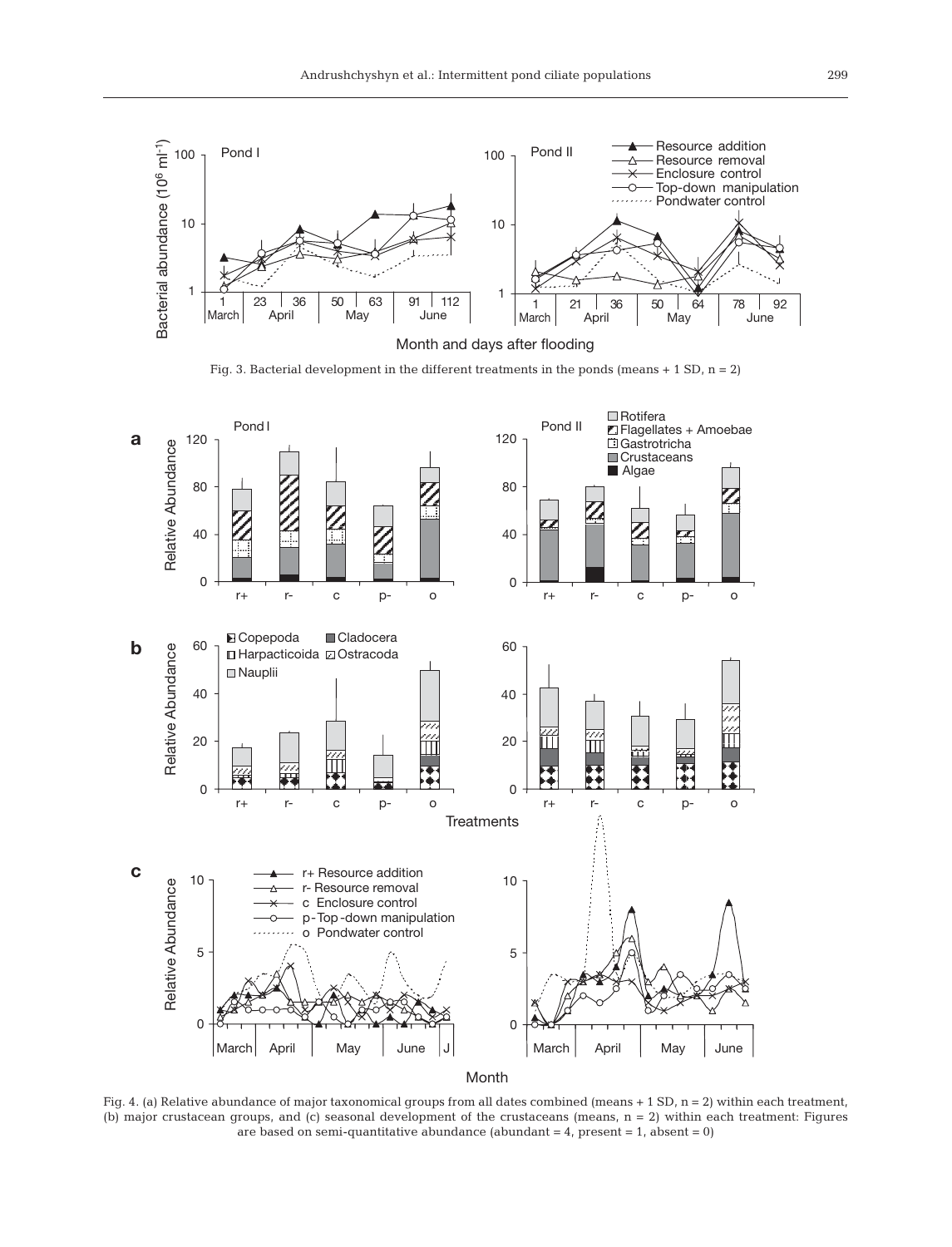

Fig. 3. Bacterial development in the different treatments in the ponds (means  $+ 1$  SD,  $n = 2$ )



Month

Fig. 4. (a) Relative abundance of major taxonomical groups from all dates combined (means + 1 SD, n = 2) within each treatment, (b) major crustacean groups, and (c) seasonal development of the crustaceans (means, n = 2) within each treatment: Figures are based on semi-quantitative abundance (abundant  $= 4$ , present  $= 1$ , absent  $= 0$ )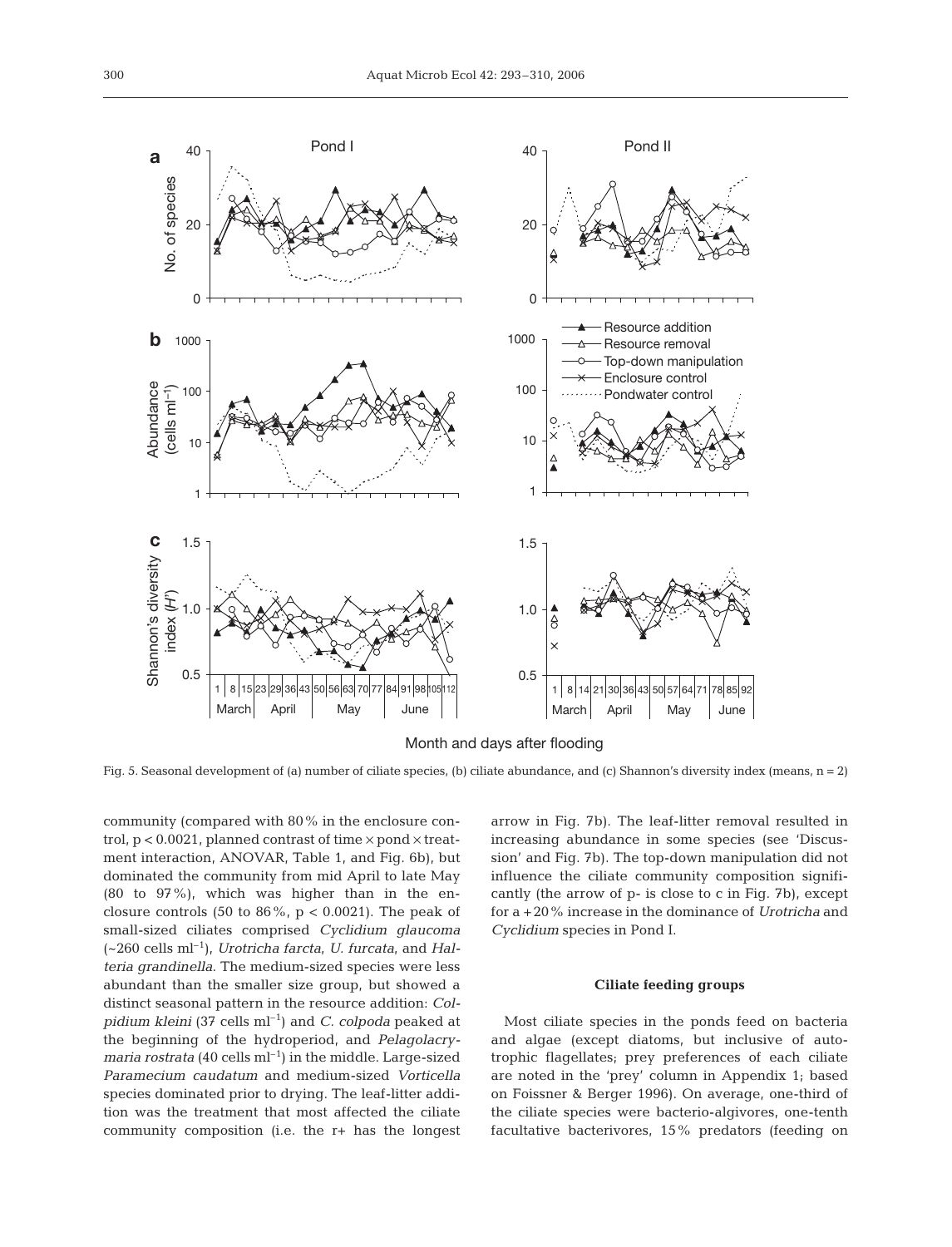

Fig. 5. Seasonal development of (a) number of ciliate species, (b) ciliate abundance, and (c) Shannon's diversity index (means, n = 2)

community (compared with 80% in the enclosure control,  $p < 0.0021$ , planned contrast of time  $\times$  pond  $\times$  treatment interaction, ANOVAR, Table 1, and Fig. 6b), but dominated the community from mid April to late May (80 to 97%), which was higher than in the enclosure controls (50 to 86%,  $p < 0.0021$ ). The peak of small-sized ciliates comprised *Cyclidium glaucoma* (~260 cells ml–1), *Urotricha farcta*, *U. furcata*, and *Halteria grandinella*. The medium-sized species were less abundant than the smaller size group, but showed a distinct seasonal pattern in the resource addition: *Colpidium kleini* (37 cells ml–1) and *C. colpoda* peaked at the beginning of the hydroperiod, and *Pelagolacrymaria rostrata* (40 cells ml<sup>-1</sup>) in the middle. Large-sized *Paramecium caudatum* and medium-sized *Vorticella* species dominated prior to drying. The leaf-litter addition was the treatment that most affected the ciliate community composition (i.e. the r+ has the longest

arrow in Fig. 7b). The leaf-litter removal resulted in increasing abundance in some species (see 'Discussion' and Fig. 7b). The top-down manipulation did not influence the ciliate community composition significantly (the arrow of p- is close to c in Fig. 7b), except for a +20% increase in the dominance of *Urotricha* and *Cyclidium* species in Pond I.

#### **Ciliate feeding groups**

Most ciliate species in the ponds feed on bacteria and algae (except diatoms, but inclusive of autotrophic flagellates; prey preferences of each ciliate are noted in the 'prey' column in Appendix 1; based on Foissner & Berger 1996). On average, one-third of the ciliate species were bacterio-algivores, one-tenth facultative bacterivores, 15% predators (feeding on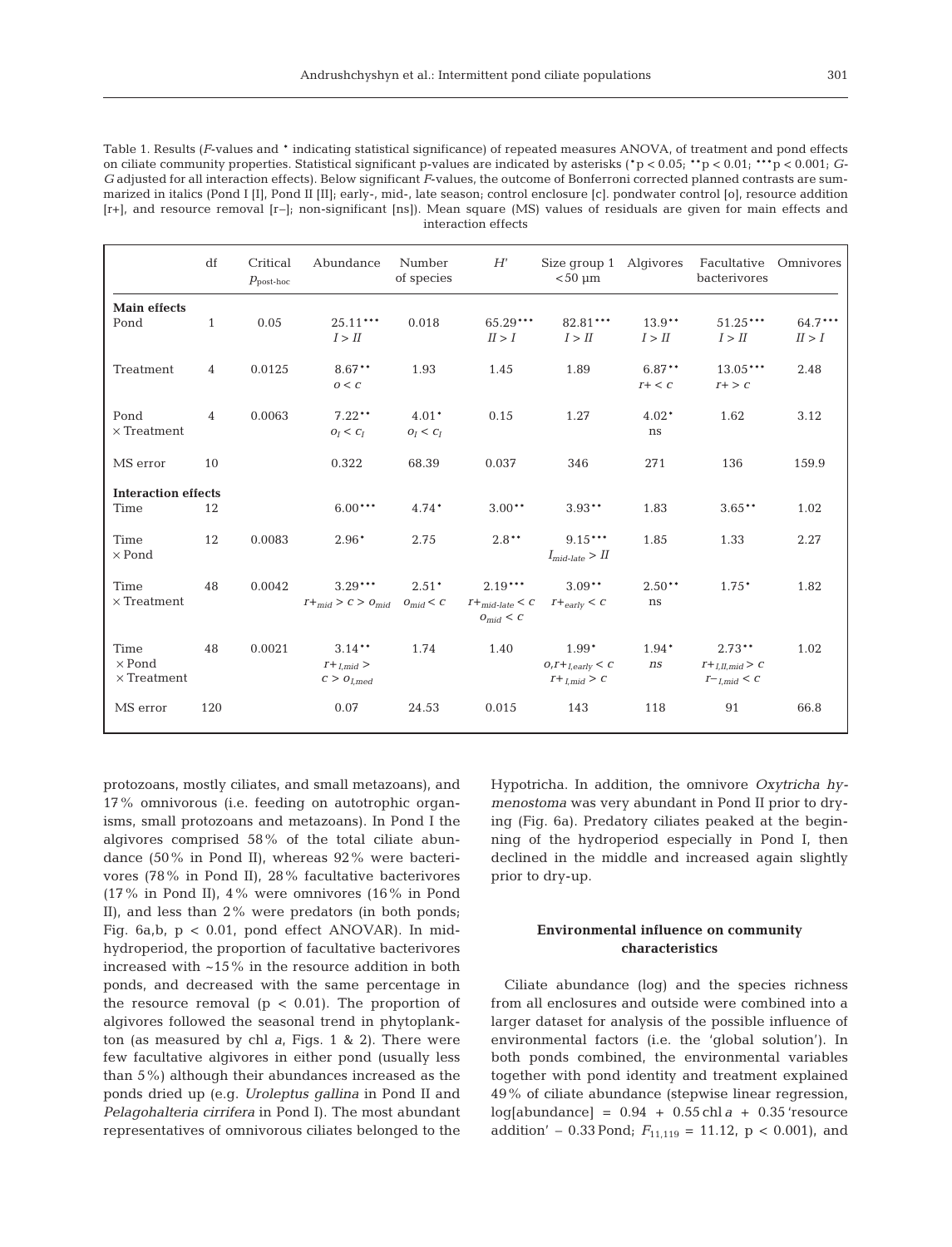Table 1. Results (*F*-values and \* indicating statistical significance) of repeated measures ANOVA, of treatment and pond effects on ciliate community properties. Statistical significant p-values are indicated by asterisks (\*p < 0.05; \*\*p < 0.01; \*\*\*p < 0.001; *G-G* adjusted for all interaction effects). Below significant *F*-values, the outcome of Bonferroni corrected planned contrasts are summarized in italics (Pond I [I], Pond II [II]; early-, mid-, late season; control enclosure [c]. pondwater control [o], resource addition [r+], and resource removal [r-]; non-significant [ns]). Mean square (MS) values of residuals are given for main effects and interaction effects

|                                             | df             | Critical<br>$p_{\text{post-hoc}}$ | Abundance                                            | Number<br>of species   | H'                                                       | Size group 1 Algivores<br>$< 50 \mu m$              |                      | Facultative<br>bacterivores                                    | Omnivores         |
|---------------------------------------------|----------------|-----------------------------------|------------------------------------------------------|------------------------|----------------------------------------------------------|-----------------------------------------------------|----------------------|----------------------------------------------------------------|-------------------|
| <b>Main effects</b><br>Pond                 | $\mathbf{1}$   | 0.05                              | $25.11***$<br>I > II                                 | 0.018                  | 65.29***<br>II > I                                       | 82.81***<br>I > II                                  | $13.9***$<br>I > II  | $51.25***$<br>I > II                                           | 64.7***<br>II > I |
| Treatment                                   | $\overline{4}$ | 0.0125                            | $8.67***$<br>0 < C                                   | 1.93                   | 1.45                                                     | 1.89                                                | $6.87**$<br>$r+ < c$ | $13.05***$<br>$r+> c$                                          | 2.48              |
| Pond<br>$\times$ Treatment                  | $\overline{4}$ | 0.0063                            | $7.22**$<br>$O_I < C_I$                              | $4.01*$<br>$O_I < C_I$ | 0.15                                                     | 1.27                                                | $4.02*$<br>ns        | 1.62                                                           | 3.12              |
| MS error                                    | 10             |                                   | 0.322                                                | 68.39                  | 0.037                                                    | 346                                                 | 271                  | 136                                                            | 159.9             |
| <b>Interaction effects</b><br>Time          | 12             |                                   | $6.00***$                                            | $4.74*$                | $3.00**$                                                 | $3.93**$                                            | 1.83                 | $3.65***$                                                      | 1.02              |
| <b>Time</b><br>$\times$ Pond                | 12             | 0.0083                            | $2.96*$                                              | 2.75                   | $2.8***$                                                 | $9.15***$<br>$I_{mid-late} > II$                    | 1.85                 | 1.33                                                           | 2.27              |
| Time<br>$\times$ Treatment                  | 48             | 0.0042                            | $3.29***$<br>$T +_{mid} > C > 0_{mid}$ $0_{mid} < C$ | $2.51*$                | $2.19***$<br>$T+_{mid\text{-}late} < C$<br>$O_{mid} < C$ | $3.09**$<br>$T +_{early} < C$                       | $2.50**$<br>ns       | $1.75*$                                                        | 1.82              |
| Time<br>$\times$ Pond<br>$\times$ Treatment | 48             | 0.0021                            | $3.14***$<br>$I+_{Lmid}$<br>$C > O_{Lmed}$           | 1.74                   | 1.40                                                     | $1.99*$<br>$0, I +_{Learlv} < C$<br>$T+_{Lmid} > C$ | $1.94*$<br>ns        | $2.73***$<br>$I+_{LII,mid} > C$<br>$I^-$ <sub>Lmid</sub> < $C$ | 1.02              |
| MS error                                    | 120            |                                   | 0.07                                                 | 24.53                  | 0.015                                                    | 143                                                 | 118                  | 91                                                             | 66.8              |

protozoans, mostly ciliates, and small metazoans), and 17% omnivorous (i.e. feeding on autotrophic organisms, small protozoans and metazoans). In Pond I the algivores comprised 58% of the total ciliate abundance (50% in Pond II), whereas 92% were bacterivores (78% in Pond II), 28% facultative bacterivores (17% in Pond II), 4% were omnivores (16% in Pond II), and less than 2% were predators (in both ponds; Fig. 6a,b,  $p < 0.01$ , pond effect ANOVAR). In midhydroperiod, the proportion of facultative bacterivores increased with ~15% in the resource addition in both ponds, and decreased with the same percentage in the resource removal ( $p < 0.01$ ). The proportion of algivores followed the seasonal trend in phytoplankton (as measured by chl *a*, Figs. 1 & 2). There were few facultative algivores in either pond (usually less than 5%) although their abundances increased as the ponds dried up (e.g. *Uroleptus gallina* in Pond II and *Pelagohalteria cirrifera* in Pond I). The most abundant representatives of omnivorous ciliates belonged to the

Hypotricha. In addition, the omnivore *Oxytricha hymenostoma* was very abundant in Pond II prior to drying (Fig. 6a). Predatory ciliates peaked at the beginning of the hydroperiod especially in Pond I, then declined in the middle and increased again slightly prior to dry-up.

# **Environmental influence on community characteristics**

Ciliate abundance (log) and the species richness from all enclosures and outside were combined into a larger dataset for analysis of the possible influence of environmental factors (i.e. the 'global solution'). In both ponds combined, the environmental variables together with pond identity and treatment explained 49% of ciliate abundance (stepwise linear regression,  $log[abundance] = 0.94 + 0.55 chl a + 0.35$  'resource addition' – 0.33 Pond;  $F_{11,119} = 11.12$ , p < 0.001), and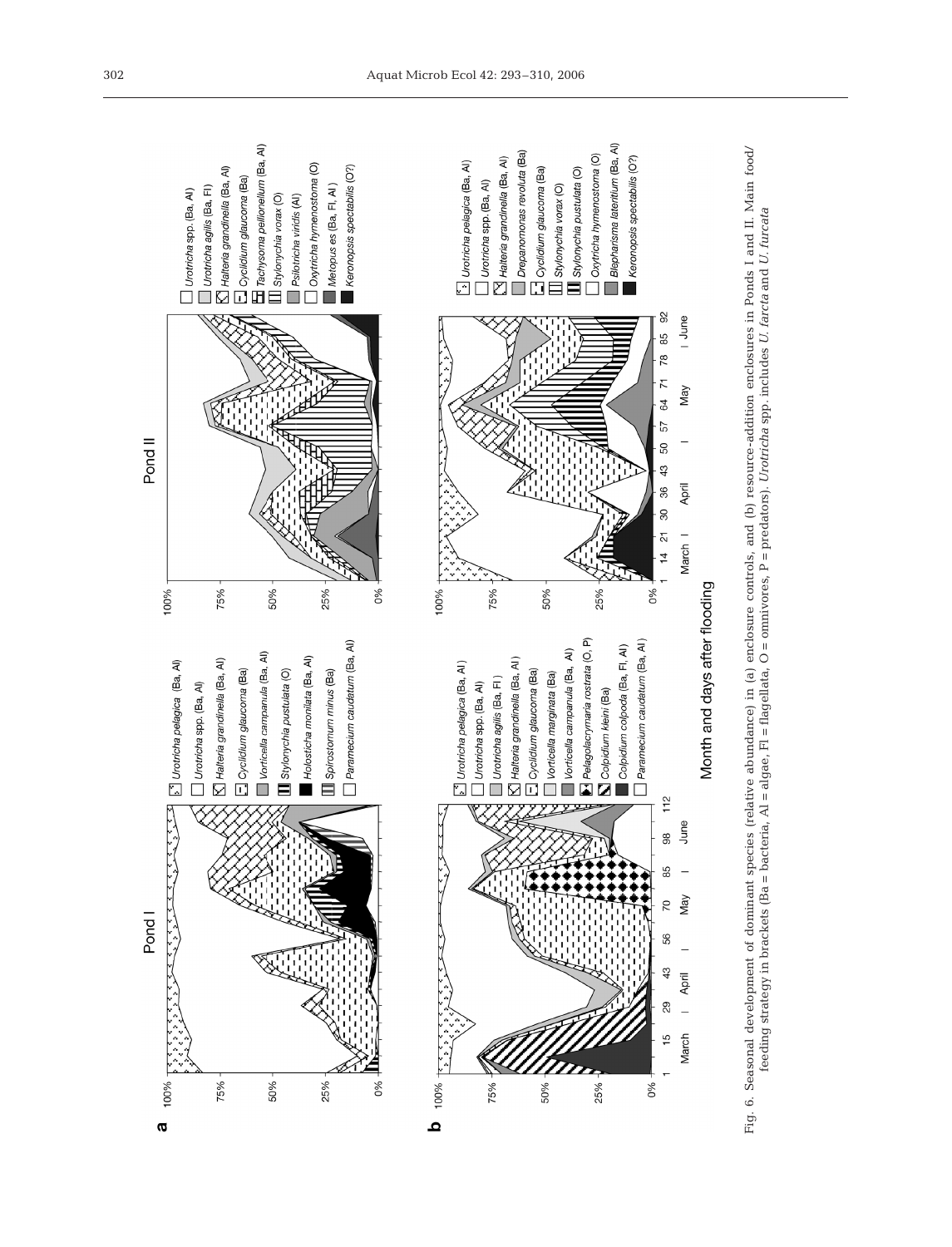![](_page_9_Figure_0.jpeg)

![](_page_9_Figure_1.jpeg)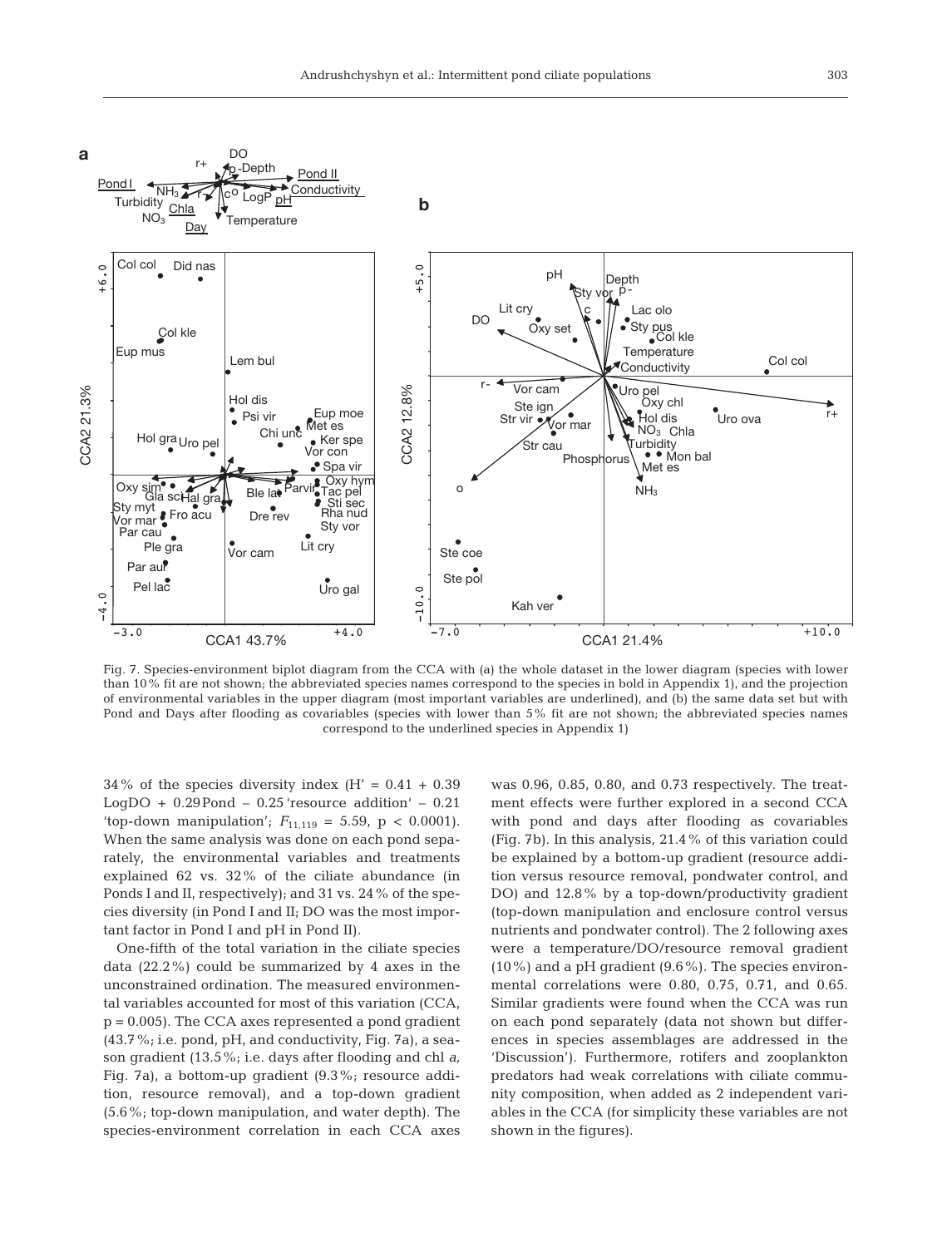![](_page_10_Figure_1.jpeg)

Fig. 7. Species-environment biplot diagram from the CCA with (a) the whole dataset in the lower diagram (species with lower than 10% fit are not shown; the abbreviated species names correspond to the species in bold in Appendix 1), and the projection of environmental variables in the upper diagram (most important variables are underlined), and (b) the same data set but with Pond and Days after flooding as covariables (species with lower than 5% fit are not shown; the abbreviated species names correspond to the underlined species in Appendix 1)

 $34\%$  of the species diversity index (H' = 0.41 + 0.39) LogDO +  $0.29$ Pond –  $0.25$  'resource addition' –  $0.21$ 'top-down manipulation';  $F_{11,119} = 5.59$ , p < 0.0001). When the same analysis was done on each pond separately, the environmental variables and treatments explained 62 vs. 32% of the ciliate abundance (in Ponds I and II, respectively); and 31 vs. 24% of the species diversity (in Pond I and II; DO was the most important factor in Pond I and pH in Pond II).

One-fifth of the total variation in the ciliate species data (22.2%) could be summarized by 4 axes in the unconstrained ordination. The measured environmental variables accounted for most of this variation (CCA,  $p = 0.005$ . The CCA axes represented a pond gradient (43.7%; i.e. pond, pH, and conductivity, Fig. 7a), a season gradient (13.5%; i.e. days after flooding and chl *a*, Fig. 7a), a bottom-up gradient (9.3%; resource addition, resource removal), and a top-down gradient (5.6%; top-down manipulation, and water depth). The species-environment correlation in each CCA axes

was 0.96, 0.85, 0.80, and 0.73 respectively. The treatment effects were further explored in a second CCA with pond and days after flooding as covariables (Fig. 7b). In this analysis, 21.4% of this variation could be explained by a bottom-up gradient (resource addition versus resource removal, pondwater control, and DO) and 12.8% by a top-down/productivity gradient (top-down manipulation and enclosure control versus nutrients and pondwater control). The 2 following axes were a temperature/DO/resource removal gradient (10%) and a pH gradient (9.6%). The species environmental correlations were 0.80, 0.75, 0.71, and 0.65. Similar gradients were found when the CCA was run on each pond separately (data not shown but differences in species assemblages are addressed in the 'Discussion'). Furthermore, rotifers and zooplankton predators had weak correlations with ciliate community composition, when added as 2 independent variables in the CCA (for simplicity these variables are not shown in the figures).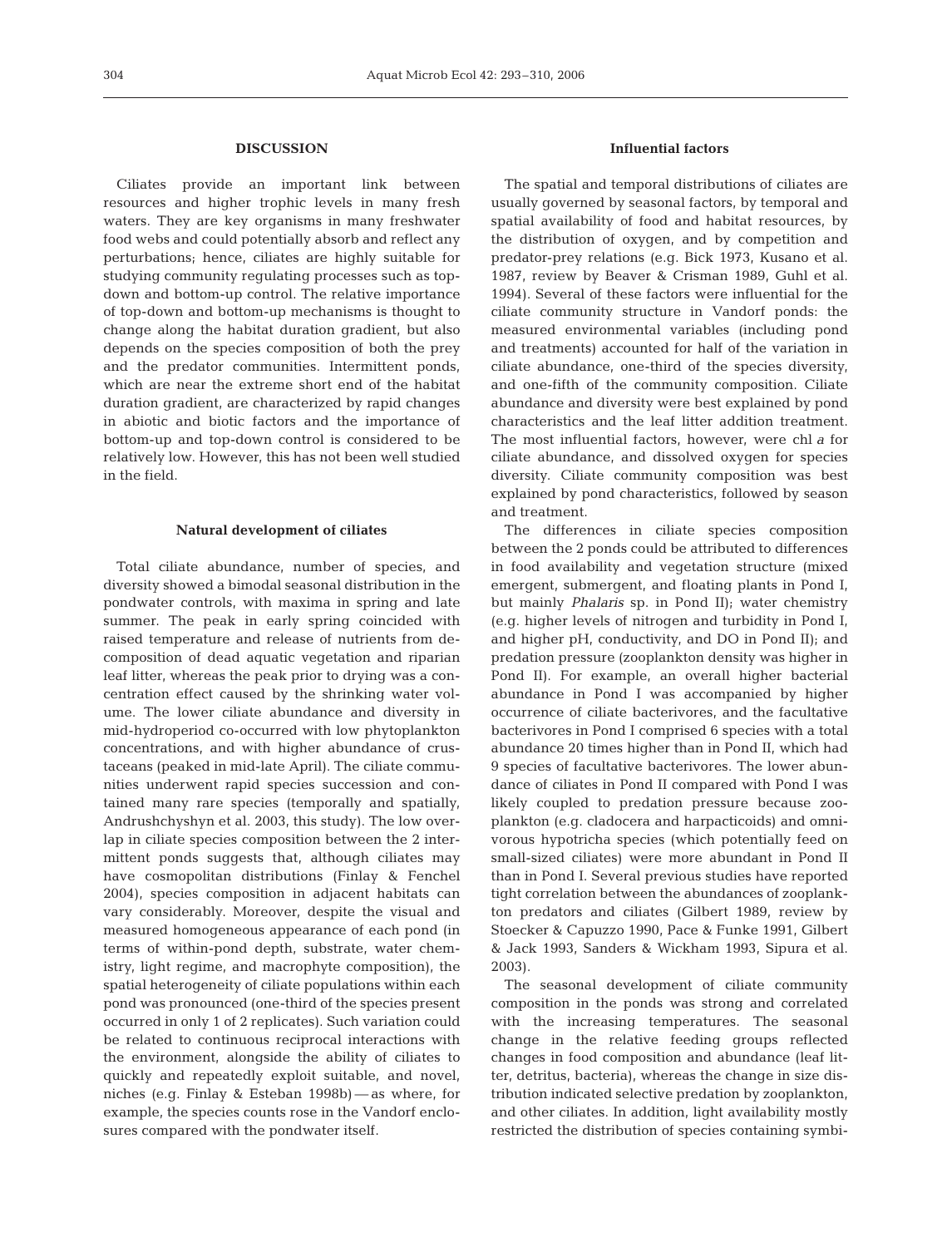## **DISCUSSION**

Ciliates provide an important link between resources and higher trophic levels in many fresh waters. They are key organisms in many freshwater food webs and could potentially absorb and reflect any perturbations; hence, ciliates are highly suitable for studying community regulating processes such as topdown and bottom-up control. The relative importance of top-down and bottom-up mechanisms is thought to change along the habitat duration gradient, but also depends on the species composition of both the prey and the predator communities. Intermittent ponds, which are near the extreme short end of the habitat duration gradient, are characterized by rapid changes in abiotic and biotic factors and the importance of bottom-up and top-down control is considered to be relatively low. However, this has not been well studied in the field.

## **Natural development of ciliates**

Total ciliate abundance, number of species, and diversity showed a bimodal seasonal distribution in the pondwater controls, with maxima in spring and late summer. The peak in early spring coincided with raised temperature and release of nutrients from decomposition of dead aquatic vegetation and riparian leaf litter, whereas the peak prior to drying was a concentration effect caused by the shrinking water volume. The lower ciliate abundance and diversity in mid-hydroperiod co-occurred with low phytoplankton concentrations, and with higher abundance of crustaceans (peaked in mid-late April). The ciliate communities underwent rapid species succession and contained many rare species (temporally and spatially, Andrushchyshyn et al. 2003, this study). The low overlap in ciliate species composition between the 2 intermittent ponds suggests that, although ciliates may have cosmopolitan distributions (Finlay & Fenchel 2004), species composition in adjacent habitats can vary considerably. Moreover, despite the visual and measured homogeneous appearance of each pond (in terms of within-pond depth, substrate, water chemistry, light regime, and macrophyte composition), the spatial heterogeneity of ciliate populations within each pond was pronounced (one-third of the species present occurred in only 1 of 2 replicates). Such variation could be related to continuous reciprocal interactions with the environment, alongside the ability of ciliates to quickly and repeatedly exploit suitable, and novel, niches (e.g. Finlay & Esteban 1998b) — as where, for example, the species counts rose in the Vandorf enclosures compared with the pondwater itself.

# **Influential factors**

The spatial and temporal distributions of ciliates are usually governed by seasonal factors, by temporal and spatial availability of food and habitat resources, by the distribution of oxygen, and by competition and predator-prey relations (e.g. Bick 1973, Kusano et al. 1987, review by Beaver & Crisman 1989, Guhl et al. 1994). Several of these factors were influential for the ciliate community structure in Vandorf ponds: the measured environmental variables (including pond and treatments) accounted for half of the variation in ciliate abundance, one-third of the species diversity, and one-fifth of the community composition. Ciliate abundance and diversity were best explained by pond characteristics and the leaf litter addition treatment. The most influential factors, however, were chl *a* for ciliate abundance, and dissolved oxygen for species diversity. Ciliate community composition was best explained by pond characteristics, followed by season and treatment.

The differences in ciliate species composition between the 2 ponds could be attributed to differences in food availability and vegetation structure (mixed emergent, submergent, and floating plants in Pond I, but mainly *Phalaris* sp. in Pond II); water chemistry (e.g. higher levels of nitrogen and turbidity in Pond I, and higher pH, conductivity, and DO in Pond II); and predation pressure (zooplankton density was higher in Pond II). For example, an overall higher bacterial abundance in Pond I was accompanied by higher occurrence of ciliate bacterivores, and the facultative bacterivores in Pond I comprised 6 species with a total abundance 20 times higher than in Pond II, which had 9 species of facultative bacterivores. The lower abundance of ciliates in Pond II compared with Pond I was likely coupled to predation pressure because zooplankton (e.g. cladocera and harpacticoids) and omnivorous hypotricha species (which potentially feed on small-sized ciliates) were more abundant in Pond II than in Pond I. Several previous studies have reported tight correlation between the abundances of zooplankton predators and ciliates (Gilbert 1989, review by Stoecker & Capuzzo 1990, Pace & Funke 1991, Gilbert & Jack 1993, Sanders & Wickham 1993, Sipura et al. 2003).

The seasonal development of ciliate community composition in the ponds was strong and correlated with the increasing temperatures. The seasonal change in the relative feeding groups reflected changes in food composition and abundance (leaf litter, detritus, bacteria), whereas the change in size distribution indicated selective predation by zooplankton, and other ciliates. In addition, light availability mostly restricted the distribution of species containing symbi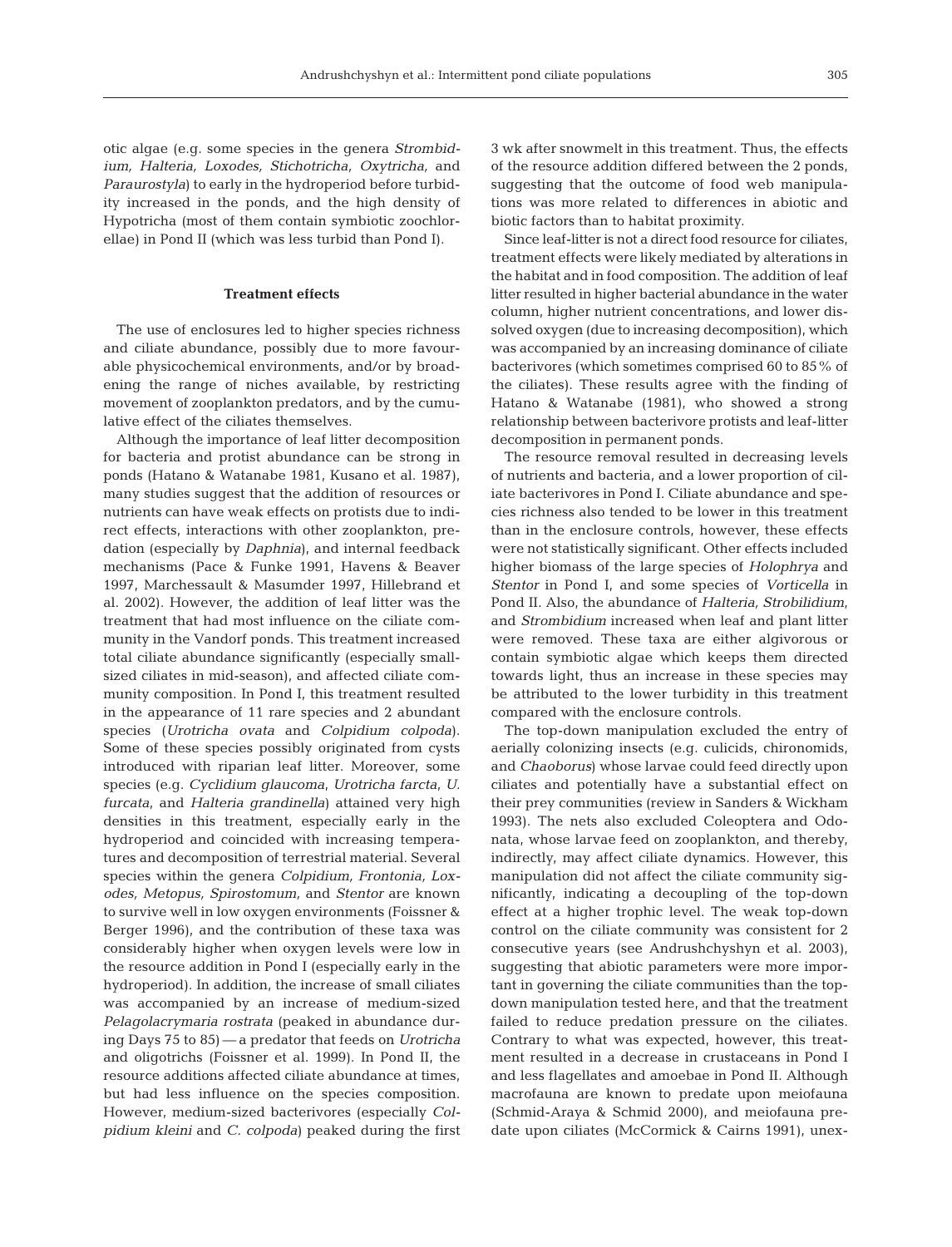otic algae (e.g. some species in the genera *Strombidium, Halteria, Loxodes, Stichotricha, Oxytricha,* and *Paraurostyla*) to early in the hydroperiod before turbidity increased in the ponds, and the high density of Hypotricha (most of them contain symbiotic zoochlorellae) in Pond II (which was less turbid than Pond I).

## **Treatment effects**

The use of enclosures led to higher species richness and ciliate abundance, possibly due to more favourable physicochemical environments, and/or by broadening the range of niches available, by restricting movement of zooplankton predators, and by the cumulative effect of the ciliates themselves.

Although the importance of leaf litter decomposition for bacteria and protist abundance can be strong in ponds (Hatano & Watanabe 1981, Kusano et al. 1987), many studies suggest that the addition of resources or nutrients can have weak effects on protists due to indirect effects, interactions with other zooplankton, predation (especially by *Daphnia*), and internal feedback mechanisms (Pace & Funke 1991, Havens & Beaver 1997, Marchessault & Masumder 1997, Hillebrand et al. 2002). However, the addition of leaf litter was the treatment that had most influence on the ciliate community in the Vandorf ponds. This treatment increased total ciliate abundance significantly (especially smallsized ciliates in mid-season), and affected ciliate community composition. In Pond I, this treatment resulted in the appearance of 11 rare species and 2 abundant species (*Urotricha ovata* and *Colpidium colpoda*). Some of these species possibly originated from cysts introduced with riparian leaf litter. Moreover, some species (e.g. *Cyclidium glaucoma*, *Urotricha farcta*, *U. furcata*, and *Halteria grandinella*) attained very high densities in this treatment, especially early in the hydroperiod and coincided with increasing temperatures and decomposition of terrestrial material. Several species within the genera *Colpidium, Frontonia, Loxodes, Metopus, Spirostomum,* and *Stentor* are known to survive well in low oxygen environments (Foissner & Berger 1996), and the contribution of these taxa was considerably higher when oxygen levels were low in the resource addition in Pond I (especially early in the hydroperiod). In addition, the increase of small ciliates was accompanied by an increase of medium-sized *Pelagolacrymaria rostrata* (peaked in abundance during Days 75 to 85) — a predator that feeds on *Urotricha* and oligotrichs (Foissner et al. 1999). In Pond II, the resource additions affected ciliate abundance at times, but had less influence on the species composition. However, medium-sized bacterivores (especially *Colpidium kleini* and *C. colpoda*) peaked during the first 3 wk after snowmelt in this treatment. Thus, the effects of the resource addition differed between the 2 ponds, suggesting that the outcome of food web manipulations was more related to differences in abiotic and biotic factors than to habitat proximity.

Since leaf-litter is not a direct food resource for ciliates, treatment effects were likely mediated by alterations in the habitat and in food composition. The addition of leaf litter resulted in higher bacterial abundance in the water column, higher nutrient concentrations, and lower dissolved oxygen (due to increasing decomposition), which was accompanied by an increasing dominance of ciliate bacterivores (which sometimes comprised 60 to 85% of the ciliates). These results agree with the finding of Hatano & Watanabe (1981), who showed a strong relationship between bacterivore protists and leaf-litter decomposition in permanent ponds.

The resource removal resulted in decreasing levels of nutrients and bacteria, and a lower proportion of ciliate bacterivores in Pond I. Ciliate abundance and species richness also tended to be lower in this treatment than in the enclosure controls, however, these effects were not statistically significant. Other effects included higher biomass of the large species of *Holophrya* and *Stentor* in Pond I, and some species of *Vorticella* in Pond II. Also, the abundance of *Halteria, Strobilidium*, and *Strombidium* increased when leaf and plant litter were removed. These taxa are either algivorous or contain symbiotic algae which keeps them directed towards light, thus an increase in these species may be attributed to the lower turbidity in this treatment compared with the enclosure controls.

The top-down manipulation excluded the entry of aerially colonizing insects (e.g. culicids, chironomids, and *Chaoborus*) whose larvae could feed directly upon ciliates and potentially have a substantial effect on their prey communities (review in Sanders & Wickham 1993). The nets also excluded Coleoptera and Odonata, whose larvae feed on zooplankton, and thereby, indirectly, may affect ciliate dynamics. However, this manipulation did not affect the ciliate community significantly, indicating a decoupling of the top-down effect at a higher trophic level. The weak top-down control on the ciliate community was consistent for 2 consecutive years (see Andrushchyshyn et al. 2003), suggesting that abiotic parameters were more important in governing the ciliate communities than the topdown manipulation tested here, and that the treatment failed to reduce predation pressure on the ciliates. Contrary to what was expected, however, this treatment resulted in a decrease in crustaceans in Pond I and less flagellates and amoebae in Pond II. Although macrofauna are known to predate upon meiofauna (Schmid-Araya & Schmid 2000), and meiofauna predate upon ciliates (McCormick & Cairns 1991), unex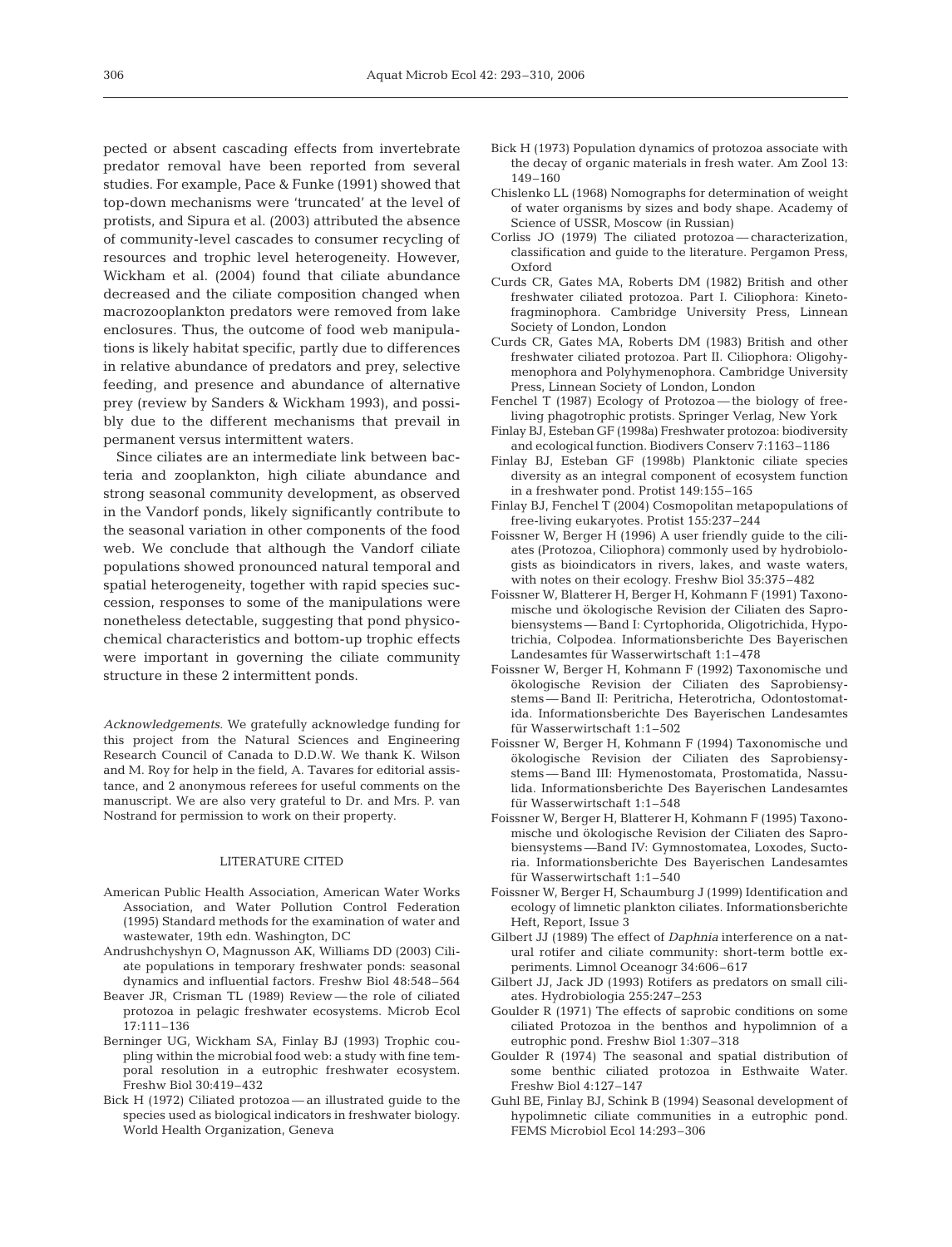pected or absent cascading effects from invertebrate predator removal have been reported from several studies. For example, Pace & Funke (1991) showed that top-down mechanisms were 'truncated' at the level of protists, and Sipura et al. (2003) attributed the absence of community-level cascades to consumer recycling of resources and trophic level heterogeneity. However, Wickham et al. (2004) found that ciliate abundance decreased and the ciliate composition changed when macrozooplankton predators were removed from lake enclosures. Thus, the outcome of food web manipulations is likely habitat specific, partly due to differences in relative abundance of predators and prey, selective feeding, and presence and abundance of alternative prey (review by Sanders & Wickham 1993), and possibly due to the different mechanisms that prevail in permanent versus intermittent waters.

Since ciliates are an intermediate link between bacteria and zooplankton, high ciliate abundance and strong seasonal community development, as observed in the Vandorf ponds, likely significantly contribute to the seasonal variation in other components of the food web. We conclude that although the Vandorf ciliate populations showed pronounced natural temporal and spatial heterogeneity, together with rapid species succession, responses to some of the manipulations were nonetheless detectable, suggesting that pond physicochemical characteristics and bottom-up trophic effects were important in governing the ciliate community structure in these 2 intermittent ponds.

*Acknowledgements.* We gratefully acknowledge funding for this project from the Natural Sciences and Engineering Research Council of Canada to D.D.W. We thank K. Wilson and M. Roy for help in the field, A. Tavares for editorial assistance, and 2 anonymous referees for useful comments on the manuscript. We are also very grateful to Dr. and Mrs. P. van Nostrand for permission to work on their property.

#### LITERATURE CITED

- American Public Health Association, American Water Works Association, and Water Pollution Control Federation (1995) Standard methods for the examination of water and wastewater, 19th edn. Washington, DC
- Andrushchyshyn O, Magnusson AK, Williams DD (2003) Ciliate populations in temporary freshwater ponds: seasonal dynamics and influential factors. Freshw Biol 48:548–564
- Beaver JR, Crisman TL (1989) Review the role of ciliated protozoa in pelagic freshwater ecosystems. Microb Ecol 17:111–136
- Berninger UG, Wickham SA, Finlay BJ (1993) Trophic coupling within the microbial food web: a study with fine temporal resolution in a eutrophic freshwater ecosystem. Freshw Biol 30:419–432
- Bick H (1972) Ciliated protozoa an illustrated guide to the species used as biological indicators in freshwater biology. World Health Organization, Geneva
- Bick H (1973) Population dynamics of protozoa associate with the decay of organic materials in fresh water. Am Zool 13: 149–160
- Chislenko LL (1968) Nomographs for determination of weight of water organisms by sizes and body shape. Academy of Science of USSR, Moscow (in Russian)
- Corliss JO (1979) The ciliated protozoa characterization, classification and guide to the literature. Pergamon Press, Oxford
- Curds CR, Gates MA, Roberts DM (1982) British and other freshwater ciliated protozoa. Part I. Ciliophora: Kinetofragminophora. Cambridge University Press, Linnean Society of London, London
- Curds CR, Gates MA, Roberts DM (1983) British and other freshwater ciliated protozoa. Part II. Ciliophora: Oligohymenophora and Polyhymenophora. Cambridge University Press, Linnean Society of London, London
- Fenchel T (1987) Ecology of Protozoa the biology of freeliving phagotrophic protists. Springer Verlag, New York
- Finlay BJ, Esteban GF (1998a) Freshwater protozoa: biodiversity and ecological function. Biodivers Conserv 7:1163–1186
- Finlay BJ, Esteban GF (1998b) Planktonic ciliate species diversity as an integral component of ecosystem function in a freshwater pond. Protist 149:155–165
- Finlay BJ, Fenchel T (2004) Cosmopolitan metapopulations of free-living eukaryotes. Protist 155:237–244
- Foissner W, Berger H (1996) A user friendly guide to the ciliates (Protozoa, Ciliophora) commonly used by hydrobiologists as bioindicators in rivers, lakes, and waste waters, with notes on their ecology. Freshw Biol 35:375–482
- Foissner W, Blatterer H, Berger H, Kohmann F (1991) Taxonomische und ökologische Revision der Ciliaten des Saprobiensystems — Band I: Cyrtophorida, Oligotrichida, Hypotrichia, Colpodea. Informationsberichte Des Bayerischen Landesamtes für Wasserwirtschaft 1:1–478
- Foissner W, Berger H, Kohmann F (1992) Taxonomische und ökologische Revision der Ciliaten des Saprobiensystems — Band II: Peritricha, Heterotricha, Odontostomatida. Informationsberichte Des Bayerischen Landesamtes für Wasserwirtschaft 1:1–502
- Foissner W, Berger H, Kohmann F (1994) Taxonomische und ökologische Revision der Ciliaten des Saprobiensystems — Band III: Hymenostomata, Prostomatida, Nassulida. Informationsberichte Des Bayerischen Landesamtes für Wasserwirtschaft 1:1–548
- Foissner W, Berger H, Blatterer H, Kohmann F (1995) Taxonomische und ökologische Revision der Ciliaten des Saprobiensystems —Band IV: Gymnostomatea, Loxodes, Suctoria. Informationsberichte Des Bayerischen Landesamtes für Wasserwirtschaft 1:1–540
- Foissner W, Berger H, Schaumburg J (1999) Identification and ecology of limnetic plankton ciliates. Informationsberichte Heft, Report, Issue 3
- Gilbert JJ (1989) The effect of *Daphnia* interference on a natural rotifer and ciliate community: short-term bottle experiments. Limnol Oceanogr 34:606–617
- Gilbert JJ, Jack JD (1993) Rotifers as predators on small ciliates. Hydrobiologia 255:247–253
- Goulder R (1971) The effects of saprobic conditions on some ciliated Protozoa in the benthos and hypolimnion of a eutrophic pond. Freshw Biol 1:307–318
- Goulder R (1974) The seasonal and spatial distribution of some benthic ciliated protozoa in Esthwaite Water. Freshw Biol 4:127–147
- Guhl BE, Finlay BJ, Schink B (1994) Seasonal development of hypolimnetic ciliate communities in a eutrophic pond. FEMS Microbiol Ecol 14:293–306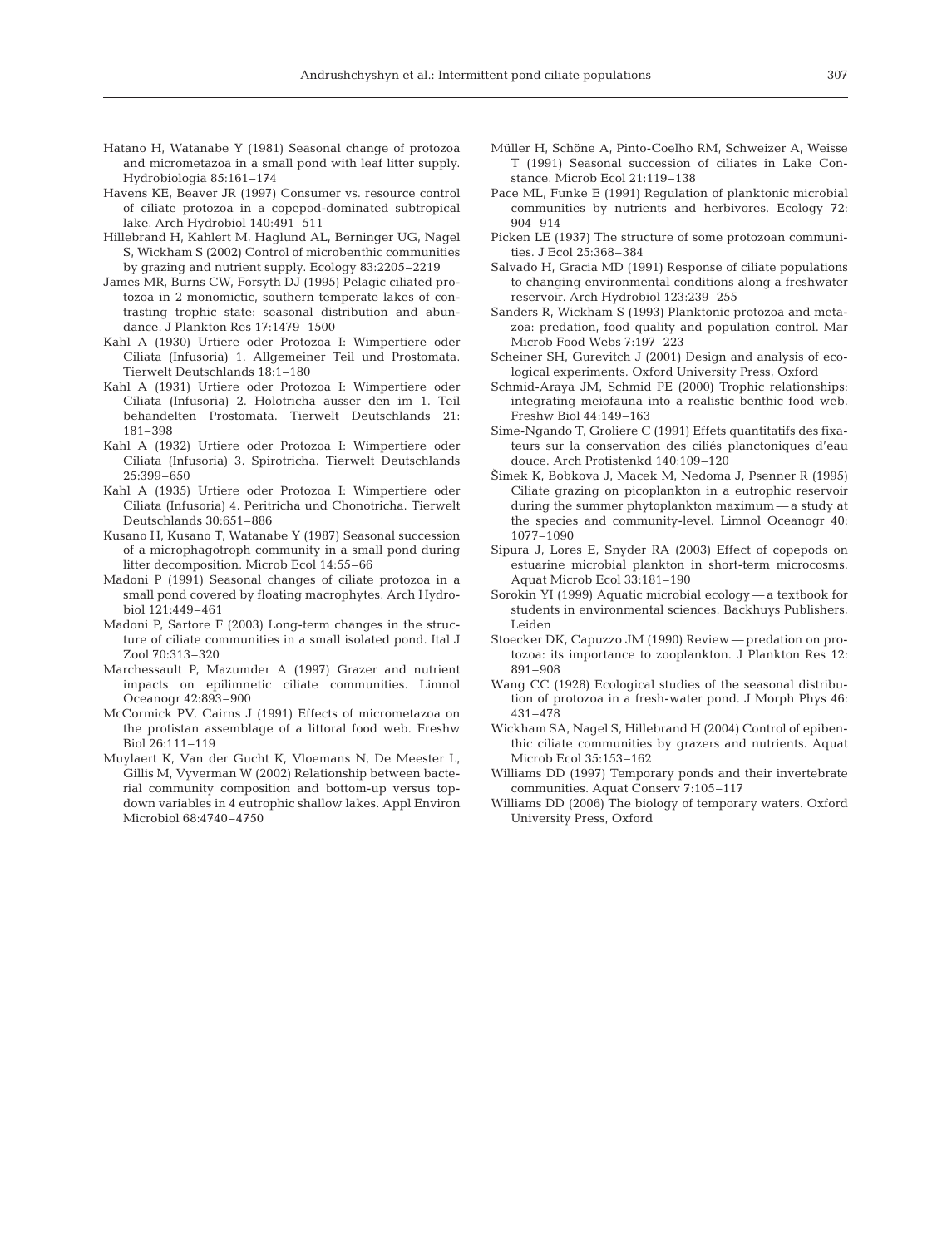- Hatano H, Watanabe Y (1981) Seasonal change of protozoa and micrometazoa in a small pond with leaf litter supply. Hydrobiologia 85:161–174
- Havens KE, Beaver JR (1997) Consumer vs. resource control of ciliate protozoa in a copepod-dominated subtropical lake. Arch Hydrobiol 140:491–511
- Hillebrand H, Kahlert M, Haglund AL, Berninger UG, Nagel S, Wickham S (2002) Control of microbenthic communities by grazing and nutrient supply. Ecology 83:2205–2219
- James MR, Burns CW, Forsyth DJ (1995) Pelagic ciliated protozoa in 2 monomictic, southern temperate lakes of contrasting trophic state: seasonal distribution and abundance. J Plankton Res 17:1479–1500
- Kahl A (1930) Urtiere oder Protozoa I: Wimpertiere oder Ciliata (Infusoria) 1. Allgemeiner Teil und Prostomata. Tierwelt Deutschlands 18:1–180
- Kahl A (1931) Urtiere oder Protozoa I: Wimpertiere oder Ciliata (Infusoria) 2. Holotricha ausser den im 1. Teil behandelten Prostomata. Tierwelt Deutschlands 21: 181–398
- Kahl A (1932) Urtiere oder Protozoa I: Wimpertiere oder Ciliata (Infusoria) 3. Spirotricha. Tierwelt Deutschlands 25:399–650
- Kahl A (1935) Urtiere oder Protozoa I: Wimpertiere oder Ciliata (Infusoria) 4. Peritricha und Chonotricha. Tierwelt Deutschlands 30:651–886
- Kusano H, Kusano T, Watanabe Y (1987) Seasonal succession of a microphagotroph community in a small pond during litter decomposition. Microb Ecol 14:55–66
- Madoni P (1991) Seasonal changes of ciliate protozoa in a small pond covered by floating macrophytes. Arch Hydrobiol 121:449–461
- Madoni P, Sartore F (2003) Long-term changes in the structure of ciliate communities in a small isolated pond. Ital J Zool 70:313–320
- Marchessault P, Mazumder A (1997) Grazer and nutrient impacts on epilimnetic ciliate communities. Limnol Oceanogr 42:893–900
- McCormick PV, Cairns J (1991) Effects of micrometazoa on the protistan assemblage of a littoral food web. Freshw Biol 26:111–119
- Muylaert K, Van der Gucht K, Vloemans N, De Meester L, Gillis M, Vyverman W (2002) Relationship between bacterial community composition and bottom-up versus topdown variables in 4 eutrophic shallow lakes. Appl Environ Microbiol 68:4740–4750
- Müller H, Schöne A, Pinto-Coelho RM, Schweizer A, Weisse T (1991) Seasonal succession of ciliates in Lake Constance. Microb Ecol 21:119–138
- Pace ML, Funke E (1991) Regulation of planktonic microbial communities by nutrients and herbivores. Ecology 72: 904–914
- Picken LE (1937) The structure of some protozoan communities. J Ecol 25:368–384
- Salvado H, Gracia MD (1991) Response of ciliate populations to changing environmental conditions along a freshwater reservoir. Arch Hydrobiol 123:239–255
- Sanders R, Wickham S (1993) Planktonic protozoa and metazoa: predation, food quality and population control. Mar Microb Food Webs 7:197–223
- Scheiner SH, Gurevitch J (2001) Design and analysis of ecological experiments. Oxford University Press, Oxford
- Schmid-Araya JM, Schmid PE (2000) Trophic relationships: integrating meiofauna into a realistic benthic food web. Freshw Biol 44:149–163
- Sime-Ngando T, Groliere C (1991) Effets quantitatifs des fixateurs sur la conservation des ciliés planctoniques d'eau douce. Arch Protistenkd 140:109–120
- 2imek K, Bobkova J, Macek M, Nedoma J, Psenner R (1995) Ciliate grazing on picoplankton in a eutrophic reservoir during the summer phytoplankton maximum — a study at the species and community-level. Limnol Oceanogr 40: 1077–1090
- Sipura J, Lores E, Snyder RA (2003) Effect of copepods on estuarine microbial plankton in short-term microcosms. Aquat Microb Ecol 33:181–190
- Sorokin YI (1999) Aquatic microbial ecology a textbook for students in environmental sciences. Backhuys Publishers, Leiden
- Stoecker DK, Capuzzo JM (1990) Review predation on protozoa: its importance to zooplankton. J Plankton Res 12: 891–908
- Wang CC (1928) Ecological studies of the seasonal distribution of protozoa in a fresh-water pond. J Morph Phys 46: 431–478
- Wickham SA, Nagel S, Hillebrand H (2004) Control of epibenthic ciliate communities by grazers and nutrients. Aquat Microb Ecol 35:153–162
- Williams DD (1997) Temporary ponds and their invertebrate communities. Aquat Conserv 7:105–117
- Williams DD (2006) The biology of temporary waters. Oxford University Press, Oxford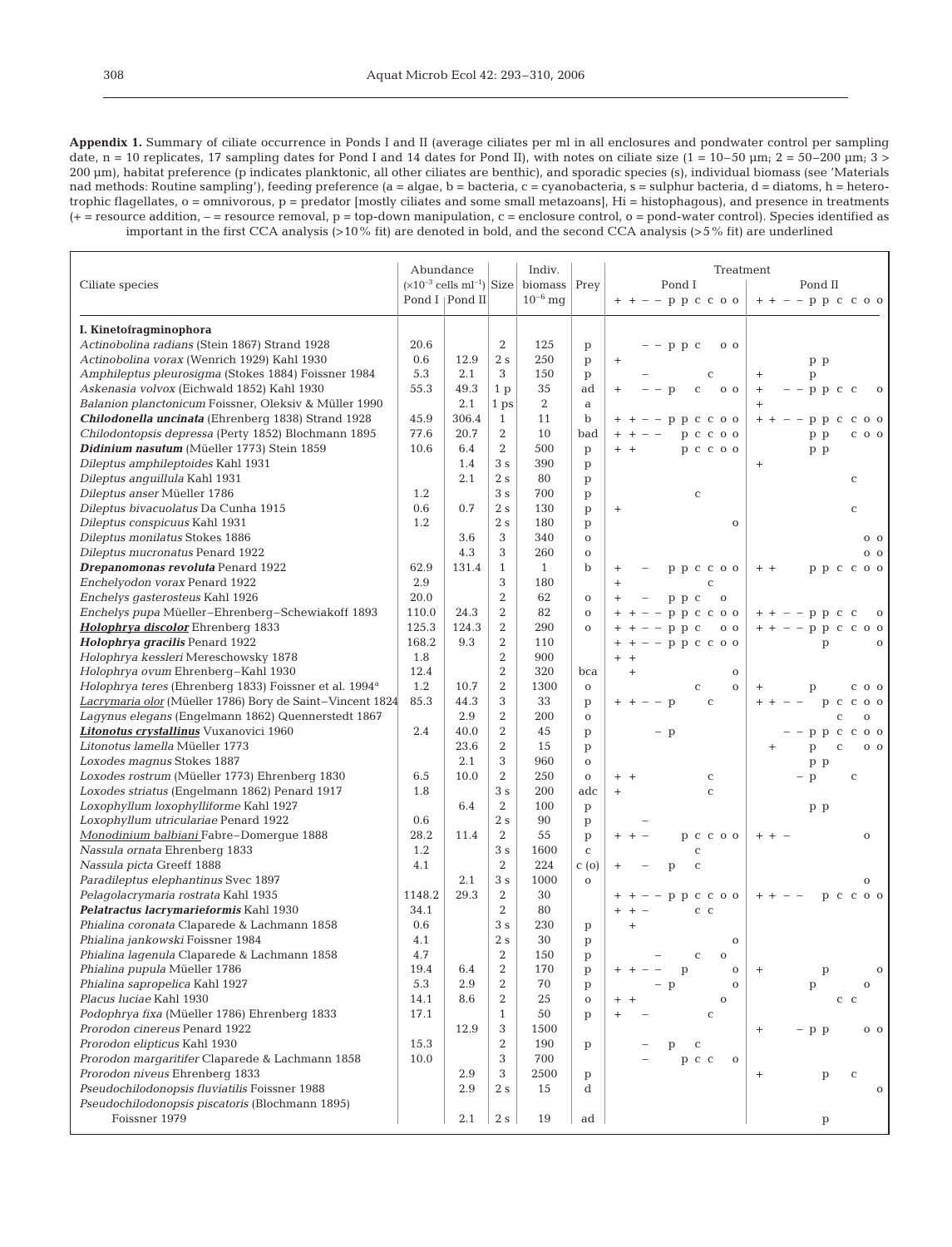**Appendix 1.** Summary of ciliate occurrence in Ponds I and II (average ciliates per ml in all enclosures and pondwater control per sampling date, n = 10 replicates, 17 sampling dates for Pond I and 14 dates for Pond II), with notes on ciliate size (1 = 10–50 µm; 2 = 50–200 µm; 3 > 200 µm), habitat preference (p indicates planktonic, all other ciliates are benthic), and sporadic species (s), individual biomass (see 'Materials nad methods: Routine sampling'), feeding preference (a = algae, b = bacteria, c = cyanobacteria, s = sulphur bacteria, d = diatoms, h = heterotrophic flagellates, o = omnivorous, p = predator [mostly ciliates and some small metazoans], Hi = histophagous), and presence in treatments  $(+)$  = resource addition,  $-$  = resource removal,  $p = top-down$  manipulation,  $c = enclosure$  control,  $o = pond$ -water control). Species identified as important in the first CCA analysis (>10% fit) are denoted in bold, and the second CCA analysis (>5% fit) are underlined

|                                                                                                   |            | Abundance        |                     | Indiv.                                            |                  | Treatment                                        |                                                                 |  |  |
|---------------------------------------------------------------------------------------------------|------------|------------------|---------------------|---------------------------------------------------|------------------|--------------------------------------------------|-----------------------------------------------------------------|--|--|
| Ciliate species                                                                                   |            |                  |                     | $(x10^{-3}$ cells ml <sup>-1</sup> ) Size biomass | Prey             | Pond I                                           | Pond II                                                         |  |  |
|                                                                                                   |            | Pond I   Pond II |                     | $10^{-6}$ mg                                      |                  | $+ + - - p p c c 0$                              | $++ - - p p c c 0$                                              |  |  |
|                                                                                                   |            |                  |                     |                                                   |                  |                                                  |                                                                 |  |  |
| I. Kinetofragminophora                                                                            |            |                  |                     |                                                   |                  |                                                  |                                                                 |  |  |
| Actinobolina radians (Stein 1867) Strand 1928                                                     | 20.6       |                  | $\overline{2}$      | 125                                               | p                | $-$ p p c<br>0 <sub>0</sub>                      |                                                                 |  |  |
| Actinobolina vorax (Wenrich 1929) Kahl 1930                                                       | 0.6<br>5.3 | 12.9             | 2s                  | 250                                               | $\, {\rm p}$     | $\begin{array}{c} + \end{array}$                 | p p                                                             |  |  |
| Amphileptus pleurosigma (Stokes 1884) Foissner 1984                                               |            | 2.1              | 3                   | 150                                               | p                | $\mathbf C$                                      | $\begin{array}{c} + \end{array}$<br>p                           |  |  |
| Askenasia volvox (Eichwald 1852) Kahl 1930                                                        | 55.3       | 49.3             | 1 <sub>p</sub>      | 35                                                | ad               | $- p$<br>$\mathbf C$<br>0 <sub>0</sub><br>$^{+}$ | $+$<br>$-$ p p c c<br>$\mathbf{O}$                              |  |  |
| Balanion planctonicum Foissner, Oleksiv & Müller 1990                                             |            | 2.1              | 1 ps                | 2                                                 | $\mathbf a$      |                                                  |                                                                 |  |  |
| Chilodonella uncinata (Ehrenberg 1838) Strand 1928                                                | 45.9       | 306.4            | $\mathbf{1}$        | 11                                                | $\mathbf b$      | $-$ p p c c o o                                  | ррс<br>$C$ O O<br>$+ +$<br>$\overline{\phantom{a}}$             |  |  |
| Chilodontopsis depressa (Perty 1852) Blochmann 1895<br>Didinium nasutum (Müeller 1773) Stein 1859 | 77.6       | 20.7             | 2<br>$\overline{2}$ | 10<br>500                                         | bad              | p c c o o                                        | p p<br>$C$ O O                                                  |  |  |
|                                                                                                   | 10.6       | 6.4              | 3s                  | 390                                               | p                | p c c o o<br>$+$ $+$                             | p p                                                             |  |  |
| Dileptus amphileptoides Kahl 1931<br>Dileptus anguillula Kahl 1931                                |            | 1.4<br>2.1       | 2s                  | 80                                                | p                |                                                  | $^{+}$                                                          |  |  |
| Dileptus anser Müeller 1786                                                                       | 1.2        |                  | 3s                  | 700                                               | p                |                                                  | C                                                               |  |  |
| Dileptus bivacuolatus Da Cunha 1915                                                               | 0.6        | 0.7              | 2s                  | 130                                               | p                | $\mathbf C$                                      |                                                                 |  |  |
| Dileptus conspicuus Kahl 1931                                                                     | 1.2        |                  | 2s                  | 180                                               | p                | $\begin{array}{c} + \end{array}$<br>$\mathbf 0$  | $\mathbf C$                                                     |  |  |
| Dileptus monilatus Stokes 1886                                                                    |            | 3.6              | 3                   | 340                                               | p<br>$\mathbf O$ |                                                  | 0 <sub>0</sub>                                                  |  |  |
| Dileptus mucronatus Penard 1922                                                                   |            | 4.3              | 3                   | 260                                               | $\mathbf O$      |                                                  | $0\quad$                                                        |  |  |
| Drepanomonas revoluta Penard 1922                                                                 | 62.9       | 131.4            | $\mathbf{1}$        | $\mathbf{1}$                                      | $\mathbf b$      |                                                  | ррссоо<br>$+$ +                                                 |  |  |
| Enchelyodon vorax Penard 1922                                                                     | 2.9        |                  | 3                   | 180                                               |                  | ррссоо<br>$^{+}$<br>$\mathsf C$<br>$^{+}$        |                                                                 |  |  |
| Enchelys gasterosteus Kahl 1926                                                                   | 20.0       |                  | $\overline{2}$      | 62                                                | $\mathbf O$      | $p$ $p$ $c$<br>$\mathbf O$<br>$^{+}$             |                                                                 |  |  |
| Enchelys pupa Müeller-Ehrenberg-Schewiakoff 1893                                                  | 110.0      | 24.3             | 2                   | 82                                                | $\mathbf O$      | $-$ p p c c o o                                  | $-$ - p p c c<br>$\mathbf 0$<br>$+$ $+$                         |  |  |
| Holophrya discolor Ehrenberg 1833                                                                 | 125.3      | 124.3            | $\overline{2}$      | 290                                               | $\mathbf O$      | $-$ p p c<br>0 <sub>0</sub>                      | $+ + - - p p c c 0$                                             |  |  |
| Holophrya gracilis Penard 1922                                                                    | 168.2      | 9.3              | 2                   | 110                                               |                  | $-$ - p p c c o o<br>$+$                         | p<br>$\mathbf{o}$                                               |  |  |
| Holophrya kessleri Mereschowsky 1878                                                              | 1.8        |                  | 2                   | 900                                               |                  | $^{+}$<br>$+$                                    |                                                                 |  |  |
| Holophrya ovum Ehrenberg-Kahl 1930                                                                | 12.4       |                  | $\overline{2}$      | 320                                               | bca              | $^{+}$<br>$\mathbf 0$                            |                                                                 |  |  |
| Holophrya teres (Ehrenberg 1833) Foissner et al. 1994 <sup>a</sup>                                | 1.2        | 10.7             | 2                   | 1300                                              | $\mathbf O$      | $\mathbf 0$<br>C                                 | 0 <sub>0</sub><br>$^+$<br>p<br>C                                |  |  |
| Lacrymaria olor (Müeller 1786) Bory de Saint-Vincent 1824                                         | 85.3       | 44.3             | 3                   | 33                                                | p                | $-$ p<br>$\mathbf C$                             | p c<br>$\mathbf C$<br>0 <sub>0</sub><br>$+ +$                   |  |  |
| Lagynus elegans (Engelmann 1862) Quennerstedt 1867                                                |            | 2.9              | 2                   | 200                                               | $\mathbf O$      |                                                  | $\mathbf{o}$<br>Ċ                                               |  |  |
| Litonotus crystallinus Vuxanovici 1960                                                            | 2.4        | 40.0             | $\overline{2}$      | 45                                                | p                | $-$ p                                            | ррссоо                                                          |  |  |
| Litonotus lamella Müeller 1773                                                                    |            | 23.6             | $\overline{2}$      | 15                                                | p                |                                                  | p<br>C<br>0 <sub>0</sub>                                        |  |  |
| Loxodes magnus Stokes 1887                                                                        |            | 2.1              | 3                   | 960                                               | $\mathbf O$      |                                                  | p p                                                             |  |  |
| Loxodes rostrum (Müeller 1773) Ehrenberg 1830                                                     | 6.5        | 10.0             | $\overline{2}$      | 250                                               | $\mathbf O$      | $+$ +<br>$\mathbf C$                             | p<br>$\mathbf C$                                                |  |  |
| Loxodes striatus (Engelmann 1862) Penard 1917                                                     | 1.8        |                  | 3s                  | 200                                               | adc              | $\mathbf C$<br>$^{+}$                            |                                                                 |  |  |
| Loxophyllum loxophylliforme Kahl 1927                                                             |            | 6.4              | 2                   | 100                                               | $\mathbf{p}$     |                                                  | p p                                                             |  |  |
| Loxophyllum utriculariae Penard 1922                                                              | 0.6        |                  | 2s                  | 90                                                | $\, {\rm p}$     |                                                  |                                                                 |  |  |
| Monodinium balbiani Fabre-Domergue 1888                                                           | 28.2       | 11.4             | $\overline{2}$      | 55                                                | p                | p c c o o                                        | $\mathbf{O}$                                                    |  |  |
| Nassula ornata Ehrenberg 1833                                                                     | 1.2        |                  | 3s                  | 1600                                              | $\mathbf C$      | $\mathbf C$                                      |                                                                 |  |  |
| Nassula picta Greeff 1888                                                                         | 4.1        |                  | $\overline{2}$      | 224                                               | C(0)             | $\mathbf C$<br>p                                 |                                                                 |  |  |
| Paradileptus elephantinus Svec 1897                                                               |            | 2.1              | 3s                  | 1000                                              | $\mathbf{o}$     |                                                  | $\mathbf{O}$                                                    |  |  |
| Pelagolacrymaria rostrata Kahl 1935                                                               | 1148.2     | 29.3             | $\overline{2}$      | 30                                                |                  | p p c c o o                                      | p c c o o                                                       |  |  |
| Pelatractus lacrymarieformis Kahl 1930                                                            | 34.1       |                  | $\overline{2}$      | 80                                                |                  | $C$ $C$                                          |                                                                 |  |  |
| Phialina coronata Claparede & Lachmann 1858                                                       | 0.6        |                  | 3s                  | 230                                               | p                | $\ddot{}$                                        |                                                                 |  |  |
| Phialina jankowski Foissner 1984                                                                  | 4.1        |                  | 2s                  | 30                                                | p                | $\mathbf 0$                                      |                                                                 |  |  |
| Phialina lagenula Claparede & Lachmann 1858                                                       | 4.7        |                  | $\sqrt{2}$          | 150                                               | $\mathbf{p}$     | $\sim$<br>$\mathbf{O}$                           |                                                                 |  |  |
| Phialina pupula Müeller 1786                                                                      | 19.4       | 6.4              | $\boldsymbol{2}$    | 170                                               | p                | $\mathbf O$<br>p                                 | $\mathbf O$<br>$\ddot{}$<br>p                                   |  |  |
| Phialina sapropelica Kahl 1927                                                                    | 5.3        | 2.9              | 2                   | 70                                                | p                | p<br>$\mathbf 0$                                 | p<br>$\mathbf{O}$                                               |  |  |
| Placus luciae Kahl 1930                                                                           | 14.1       | 8.6              | 2                   | 25                                                | $\mathbf O$      | $\mathbf O$<br>$+$                               | $\mathbf c$<br>C                                                |  |  |
| Podophrya fixa (Müeller 1786) Ehrenberg 1833                                                      | 17.1       |                  | $\mathbf{1}$        | 50                                                | p                | $\mathbf C$                                      |                                                                 |  |  |
| Prorodon cinereus Penard 1922                                                                     |            | 12.9             | 3                   | 1500                                              |                  |                                                  | - p p<br>$0\quad 0$<br>$^{+}$                                   |  |  |
| Prorodon elipticus Kahl 1930                                                                      | 15.3       |                  | $\overline{2}$      | 190                                               | p                | $\mathbf C$<br>p                                 |                                                                 |  |  |
| Prorodon margaritifer Claparede & Lachmann 1858                                                   | 10.0       |                  | 3                   | 700                                               |                  | p c c<br>$\mathbf 0$                             |                                                                 |  |  |
| Prorodon niveus Ehrenberg 1833                                                                    |            | 2.9              | 3                   | 2500                                              | p                |                                                  | $\begin{array}{c} + \end{array}$<br>$\mathbf{p}$<br>$\mathbf C$ |  |  |
| Pseudochilodonopsis fluviatilis Foissner 1988                                                     |            | 2.9              | 2s                  | 15                                                | d                |                                                  | $\mathbf{O}$                                                    |  |  |
| Pseudochilodonopsis piscatoris (Blochmann 1895)                                                   |            |                  |                     |                                                   |                  |                                                  |                                                                 |  |  |
| Foissner 1979                                                                                     |            | 2.1              | 2s                  | 19                                                | ad               |                                                  | p                                                               |  |  |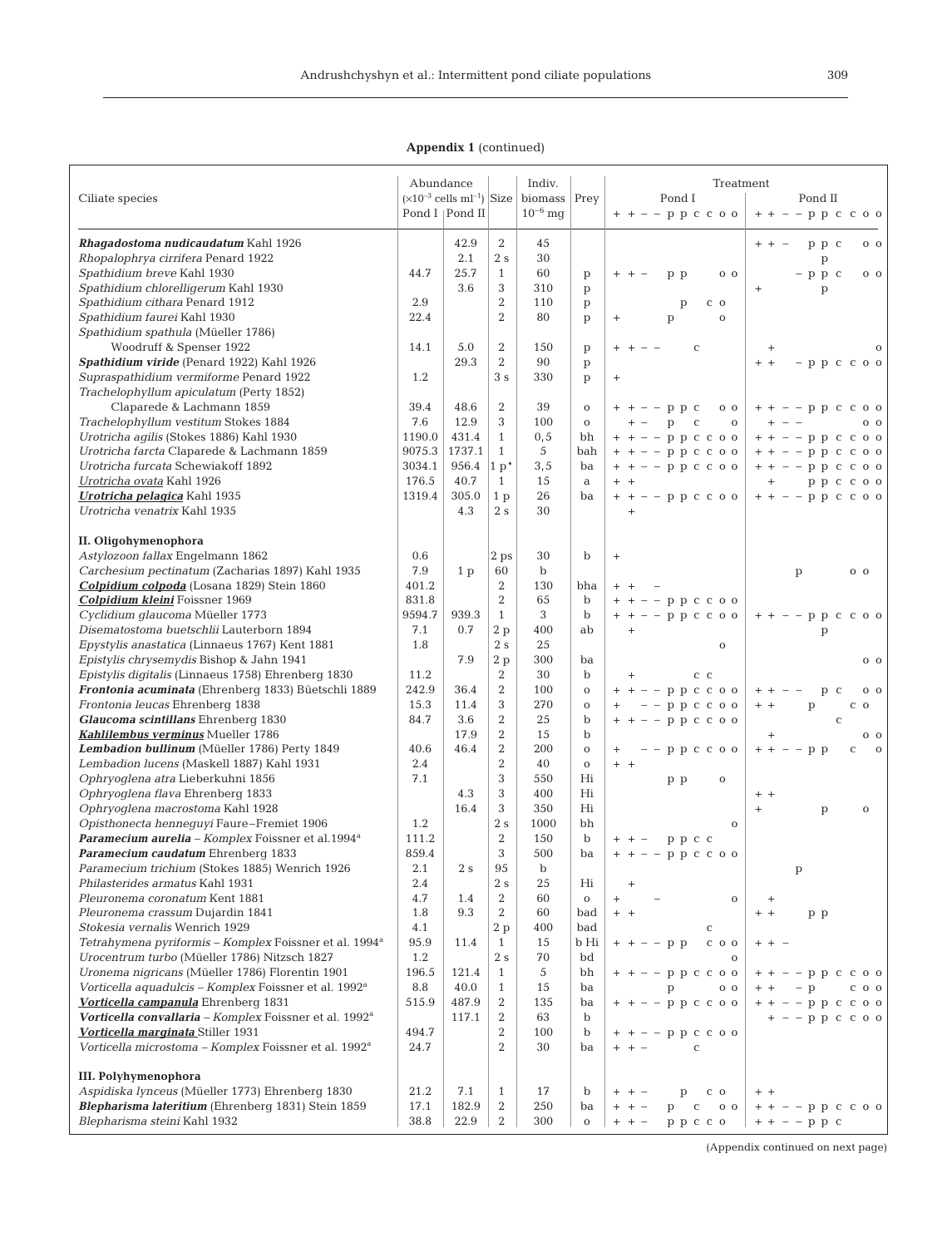# **Appendix 1** (continued)

|                                                                                           | Abundance   |                                           |                                  | Indiv.       |                            | Treatment                                |                                               |
|-------------------------------------------------------------------------------------------|-------------|-------------------------------------------|----------------------------------|--------------|----------------------------|------------------------------------------|-----------------------------------------------|
| Ciliate species                                                                           |             | $(x10^{-3}$ cells ml <sup>-1</sup> ) Size |                                  | biomass      | Prey                       | Pond I                                   | Pond II                                       |
|                                                                                           |             | Pond I   Pond II                          |                                  | $10^{-6}$ mq |                            | $+ + - - p p c c 0$                      | $+ + - - p p c c 0$                           |
|                                                                                           |             |                                           |                                  |              |                            |                                          |                                               |
| Rhagadostoma nudicaudatum Kahl 1926                                                       |             | 42.9                                      | 2                                | 45           |                            |                                          | $+ +$<br>ррс<br>0 <sub>0</sub>                |
| Rhopalophrya cirrifera Penard 1922                                                        |             | 2.1                                       | 2s                               | 30           |                            |                                          | p                                             |
| Spathidium breve Kahl 1930                                                                | 44.7        | 25.7                                      | $\mathbf{1}$                     | 60           | $\mathbf{p}$               | p p<br>0 <sub>0</sub>                    | $-$ p p c<br>0 <sub>0</sub>                   |
| Spathidium chlorelligerum Kahl 1930                                                       |             | 3.6                                       | 3                                | 310          | $\mathbf{p}$               |                                          | $^{+}$<br>p                                   |
| Spathidium cithara Penard 1912                                                            | 2.9         |                                           | $\overline{2}$                   | 110          | $\mathbf{p}$               | $\mathbf{p}$<br>$C$ O                    |                                               |
| Spathidium faurei Kahl 1930                                                               | 22.4        |                                           | $\overline{2}$                   | 80           | p                          | p<br>$\mathbf 0$<br>$^+$                 |                                               |
| Spathidium spathula (Müeller 1786)                                                        |             |                                           |                                  |              |                            |                                          |                                               |
| Woodruff & Spenser 1922                                                                   | 14.1        | 5.0<br>29.3                               | $\overline{2}$<br>$\overline{2}$ | 150<br>90    | p                          | $\mathbf C$                              | $^{+}$                                        |
| Spathidium viride (Penard 1922) Kahl 1926<br>Supraspathidium vermiforme Penard 1922       | 1.2         |                                           | 3s                               | 330          | $\mathbf{p}$               |                                          | $+ +$<br>$-$ p p c c o o                      |
| Trachelophyllum apiculatum (Perty 1852)                                                   |             |                                           |                                  |              | p                          | $^{+}$                                   |                                               |
| Claparede & Lachmann 1859                                                                 | 39.4        | 48.6                                      | 2                                | 39           | $\mathbf 0$                | $-$ - p p c<br>0 <sub>0</sub>            | $++--p p c c o o$                             |
| Trachelophyllum vestitum Stokes 1884                                                      | 7.6         | 12.9                                      | 3                                | 100          | $\mathbf 0$                | p<br>$\mathbf{C}$<br>$\mathbf{O}$<br>$+$ | $\overline{\phantom{a}}$<br>0 <sub>0</sub>    |
| Urotricha agilis (Stokes 1886) Kahl 1930                                                  | 1190.0      | 431.4                                     | $\mathbf{1}$                     | 0, 5         | bh                         | $+ + - - p p c c 0$                      | $++ - - p p c c o o$                          |
| Urotricha farcta Claparede & Lachmann 1859                                                | 9075.3      | 1737.1                                    | $\mathbf{1}$                     | 5            | bah                        | $+ + - - p p c c 0$                      | $+ + - - p p c c 0$                           |
| Urotricha furcata Schewiakoff 1892                                                        | 3034.1      | 956.4                                     | $1 p^*$                          | 3, 5         | ba                         | $+ + - - p p c c 0$                      | $+ + - - p p c c o o$                         |
| Urotricha ovata Kahl 1926                                                                 | 176.5       | 40.7                                      | $\mathbf{1}$                     | 15           | a                          | $+$ +                                    | p p c c o o<br>$+$                            |
| <b>Urotricha pelagica</b> Kahl 1935                                                       | 1319.4      | 305.0                                     | 1 <sub>p</sub>                   | 26           | ba                         | $+ + - - p p c c 0$                      | $+ + - - p p c c 0$                           |
| Urotricha venatrix Kahl 1935                                                              |             | 4.3                                       | 2s                               | 30           |                            | $\begin{array}{c} + \end{array}$         |                                               |
|                                                                                           |             |                                           |                                  |              |                            |                                          |                                               |
| II. Oligohymenophora                                                                      |             |                                           |                                  |              |                            |                                          |                                               |
| Astylozoon fallax Engelmann 1862                                                          | 0.6         |                                           | 2 ps                             | 30           | b                          | $\ddot{}$                                |                                               |
| Carchesium pectinatum (Zacharias 1897) Kahl 1935                                          | 7.9         | 1 <sub>p</sub>                            | 60                               | $\mathbf b$  |                            |                                          | p<br>0 <sub>0</sub>                           |
| Colpidium colpoda (Losana 1829) Stein 1860                                                | 401.2       |                                           | $\overline{2}$                   | 130          | bha                        | $+$                                      |                                               |
| <b>Colpidium kleini</b> Foissner 1969                                                     | 831.8       |                                           | $\overline{2}$                   | 65           | $\mathbf b$                | $-$ - p p c c o o                        |                                               |
| Cyclidium glaucoma Müeller 1773                                                           | 9594.7      | 939.3                                     | $\mathbf{1}$                     | 3            | $\mathbf b$                | $-$ - p p c c o o<br>$+$ +               | $-$ - p p<br>$\mathbf{C}$<br>$C$ 0 0          |
| Disematostoma buetschlii Lauterborn 1894                                                  | 7.1         | 0.7                                       | 2p                               | 400          | ab                         | $\begin{array}{c} + \end{array}$         | p                                             |
| Epystylis anastatica (Linnaeus 1767) Kent 1881                                            | 1.8         |                                           | 2s                               | 25           |                            | $\mathbf 0$                              |                                               |
| Epistylis chrysemydis Bishop & Jahn 1941                                                  |             | 7.9                                       | 2p                               | 300          | ba                         |                                          | 0 <sub>0</sub>                                |
| Epistylis digitalis (Linnaeus 1758) Ehrenberg 1830                                        | 11.2        |                                           | $\boldsymbol{2}$                 | 30           | $\mathbf b$                | $C$ $C$<br>$+$                           |                                               |
| Frontonia acuminata (Ehrenberg 1833) Büetschli 1889                                       | 242.9       | 36.4                                      | 2                                | 100          | $\mathbf 0$                | $-$ - p p c c o o<br>$+ +$               | $\mathbf C$<br>0 <sub>0</sub><br>$+$ +<br>p   |
| Frontonia leucas Ehrenberg 1838                                                           | 15.3        | 11.4                                      | 3                                | 270          | $\mathbf O$                | $-$ - p p c c o o                        | $+ +$<br>p<br>$C$ O                           |
| Glaucoma scintillans Ehrenberg 1830                                                       | 84.7        | 3.6                                       | $\overline{2}$<br>2              | 25           | $\mathbf b$<br>$\mathbf b$ | $-$ - p p c c o o                        | $\mathbf C$                                   |
| Kahlilembus verminus Mueller 1786                                                         |             | 17.9                                      | 2                                | 15<br>200    |                            |                                          | $^{+}$<br>0 <sub>0</sub>                      |
| Lembadion bullinum (Müeller 1786) Perty 1849<br>Lembadion lucens (Maskell 1887) Kahl 1931 | 40.6<br>2.4 | 46.4                                      | $\overline{2}$                   | 40           | $\mathbf O$                | $-$ p p c c o o                          | $-$ - p p<br>$+ +$<br>$\mathbf C$<br>$\Omega$ |
| Ophryoglena atra Lieberkuhni 1856                                                         | 7.1         |                                           | 3                                | 550          | $\mathbf O$<br>Hi          | $+ +$<br>$\mathbf 0$                     |                                               |
| Ophryoglena flava Ehrenberg 1833                                                          |             | 4.3                                       | 3                                | 400          | Hi                         | p p                                      | $+$ +                                         |
| Ophryoglena macrostoma Kahl 1928                                                          |             | 16.4                                      | 3                                | 350          | Hi                         |                                          | $+$<br>p<br>$\mathbf 0$                       |
| Opisthonecta hennequyi Faure-Fremiet 1906                                                 | 1.2         |                                           | 2s                               | 1000         | bh                         | $\mathbf{o}$                             |                                               |
| Paramecium aurelia - Komplex Foissner et al.1994 <sup>a</sup>                             | 111.2       |                                           | $\overline{2}$                   | 150          | $\mathbf b$                | ррсс                                     |                                               |
| Paramecium caudatum Ehrenberg 1833                                                        | 859.4       |                                           | 3                                | 500          | ba                         | $+ + - - p p c c 0$                      |                                               |
| Paramecium trichium (Stokes 1885) Wenrich 1926                                            | 2.1         | 2 s                                       | 95                               | b            |                            |                                          | $\, {\rm p}$                                  |
| Philasterides armatus Kahl 1931                                                           | 2.4         |                                           | 2s                               | 25           | Hi                         | $^{+}$                                   |                                               |
| Pleuronema coronatum Kent 1881                                                            | 4.7         | 1.4                                       | 2                                | 60           | $\mathbf 0$                | $\mathbf O$<br>$+$                       | $+$                                           |
| Pleuronema crassum Dujardin 1841                                                          | 1.8         | 9.3                                       | 2                                | 60           | bad                        | $+ +$                                    | $+ +$<br>p p                                  |
| Stokesia vernalis Wenrich 1929                                                            | 4.1         |                                           | 2 p                              | 400          | bad                        | $\mathbf C$                              |                                               |
| Tetrahymena pyriformis - Komplex Foissner et al. 1994 <sup>a</sup>                        | 95.9        | 11.4                                      | $\mathbf{1}$                     | 15           | b Hi                       | $C$ 0 0<br>$-$ - p p                     | $+ + -$                                       |
| Urocentrum turbo (Müeller 1786) Nitzsch 1827                                              | 1.2         |                                           | 2s                               | 70           | bd                         | $\mathbf O$                              |                                               |
| Uronema nigricans (Müeller 1786) Florentin 1901                                           | 196.5       | 121.4                                     | $\mathbf{1}$                     | 5            | bh                         | $-$ - p p c c o o                        | $-p p c c o o$                                |
| Vorticella aquadulcis - Komplex Foissner et al. 1992 <sup>a</sup>                         | 8.8         | 40.0                                      | $\mathbf{1}$                     | 15           | ba                         | $O$ O<br>p                               | $-$ p<br>$C$ 0 0                              |
| Vorticella campanula Ehrenberg 1831                                                       | 515.9       | 487.9                                     | 2                                | 135          | ba                         | $+ + - - p p c c o o$                    | $-$ - p p c c o o                             |
| Vorticella convallaria - Komplex Foissner et al. 1992 <sup>a</sup>                        |             | 117.1                                     | 2                                | 63           | $\mathbf b$                |                                          | $-$ - p p c c o o                             |
| Vorticella marginata Stiller 1931                                                         | 494.7       |                                           | 2                                | 100          | $\mathbf b$                | $-$ - p p c c o o                        |                                               |
| Vorticella microstoma - Komplex Foissner et al. 1992 <sup>a</sup>                         | 24.7        |                                           | 2                                | 30           | ba                         | $\mathbf C$<br>$+ + -$                   |                                               |
| <b>III. Polyhymenophora</b>                                                               |             |                                           |                                  |              |                            |                                          |                                               |
| Aspidiska lynceus (Müeller 1773) Ehrenberg 1830                                           | 21.2        | 7.1                                       | $\mathbf{1}$                     | 17           | b                          | $+ + -$<br>p<br>$C$ O                    | $+$ +                                         |
| Blepharisma lateritium (Ehrenberg 1831) Stein 1859                                        | 17.1        | 182.9                                     | 2                                | 250          | ba                         | $+ -$<br>$\mathbf C$<br>$0\ 0$<br>p      | $++--p p c c o o$                             |
| Blepharisma steini Kahl 1932                                                              | 38.8        | 22.9                                      | 2                                | 300          | $\mathbf 0$                | ррссо<br>$+ + -$                         | $+ + - - p p c$                               |
|                                                                                           |             |                                           |                                  |              |                            |                                          |                                               |

(Appendix continued on next page)